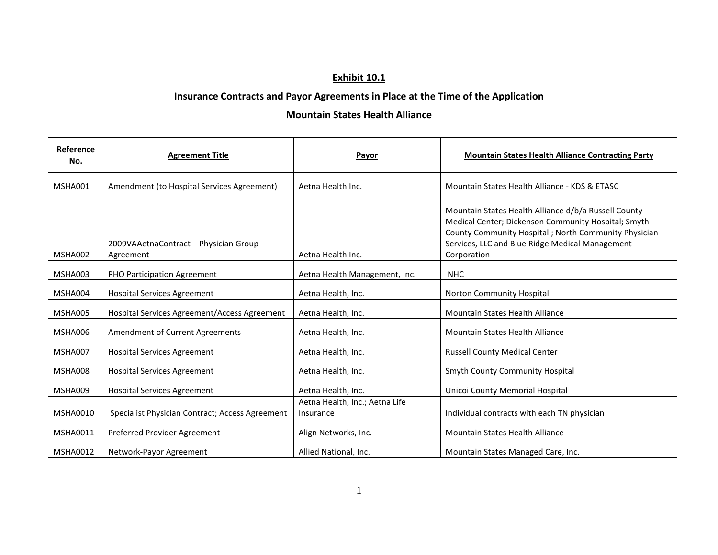## **Exhibit 10.1**

## **Insurance Contracts and Payor Agreements in Place at the Time of the Application**

## **Mountain States Health Alliance**

| Reference<br>No. | <b>Agreement Title</b>                             | Payor                                       | <b>Mountain States Health Alliance Contracting Party</b>                                                                                                                                                                              |
|------------------|----------------------------------------------------|---------------------------------------------|---------------------------------------------------------------------------------------------------------------------------------------------------------------------------------------------------------------------------------------|
| MSHA001          | Amendment (to Hospital Services Agreement)         | Aetna Health Inc.                           | Mountain States Health Alliance - KDS & ETASC                                                                                                                                                                                         |
| MSHA002          | 2009VAAetnaContract - Physician Group<br>Agreement | Aetna Health Inc.                           | Mountain States Health Alliance d/b/a Russell County<br>Medical Center; Dickenson Community Hospital; Smyth<br>County Community Hospital; North Community Physician<br>Services, LLC and Blue Ridge Medical Management<br>Corporation |
| MSHA003          | PHO Participation Agreement                        | Aetna Health Management, Inc.               | <b>NHC</b>                                                                                                                                                                                                                            |
| MSHA004          | <b>Hospital Services Agreement</b>                 | Aetna Health, Inc.                          | Norton Community Hospital                                                                                                                                                                                                             |
| MSHA005          | Hospital Services Agreement/Access Agreement       | Aetna Health, Inc.                          | Mountain States Health Alliance                                                                                                                                                                                                       |
| MSHA006          | Amendment of Current Agreements                    | Aetna Health, Inc.                          | <b>Mountain States Health Alliance</b>                                                                                                                                                                                                |
| MSHA007          | <b>Hospital Services Agreement</b>                 | Aetna Health, Inc.                          | <b>Russell County Medical Center</b>                                                                                                                                                                                                  |
| MSHA008          | <b>Hospital Services Agreement</b>                 | Aetna Health, Inc.                          | Smyth County Community Hospital                                                                                                                                                                                                       |
| MSHA009          | <b>Hospital Services Agreement</b>                 | Aetna Health, Inc.                          | Unicoi County Memorial Hospital                                                                                                                                                                                                       |
| <b>MSHA0010</b>  | Specialist Physician Contract; Access Agreement    | Aetna Health, Inc.; Aetna Life<br>Insurance | Individual contracts with each TN physician                                                                                                                                                                                           |
| <b>MSHA0011</b>  | Preferred Provider Agreement                       | Align Networks, Inc.                        | <b>Mountain States Health Alliance</b>                                                                                                                                                                                                |
| <b>MSHA0012</b>  | Network-Payor Agreement                            | Allied National, Inc.                       | Mountain States Managed Care, Inc.                                                                                                                                                                                                    |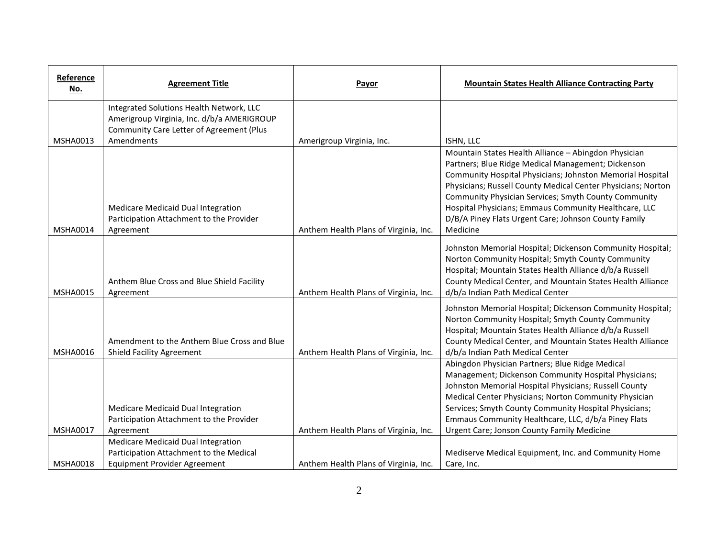| Reference<br><u>No.</u> | <b>Agreement Title</b>                                                                                               | Payor                                 | <b>Mountain States Health Alliance Contracting Party</b>                                                                                                                                                                                                                                                                                                                                |
|-------------------------|----------------------------------------------------------------------------------------------------------------------|---------------------------------------|-----------------------------------------------------------------------------------------------------------------------------------------------------------------------------------------------------------------------------------------------------------------------------------------------------------------------------------------------------------------------------------------|
|                         | Integrated Solutions Health Network, LLC<br>Amerigroup Virginia, Inc. d/b/a AMERIGROUP                               |                                       |                                                                                                                                                                                                                                                                                                                                                                                         |
| <b>MSHA0013</b>         | Community Care Letter of Agreement (Plus<br>Amendments                                                               |                                       |                                                                                                                                                                                                                                                                                                                                                                                         |
|                         |                                                                                                                      | Amerigroup Virginia, Inc.             | ISHN, LLC<br>Mountain States Health Alliance - Abingdon Physician<br>Partners; Blue Ridge Medical Management; Dickenson<br>Community Hospital Physicians; Johnston Memorial Hospital<br>Physicians; Russell County Medical Center Physicians; Norton                                                                                                                                    |
| <b>MSHA0014</b>         | Medicare Medicaid Dual Integration<br>Participation Attachment to the Provider<br>Agreement                          | Anthem Health Plans of Virginia, Inc. | Community Physician Services; Smyth County Community<br>Hospital Physicians; Emmaus Community Healthcare, LLC<br>D/B/A Piney Flats Urgent Care; Johnson County Family<br>Medicine                                                                                                                                                                                                       |
| <b>MSHA0015</b>         | Anthem Blue Cross and Blue Shield Facility<br>Agreement                                                              | Anthem Health Plans of Virginia, Inc. | Johnston Memorial Hospital; Dickenson Community Hospital;<br>Norton Community Hospital; Smyth County Community<br>Hospital; Mountain States Health Alliance d/b/a Russell<br>County Medical Center, and Mountain States Health Alliance<br>d/b/a Indian Path Medical Center                                                                                                             |
| <b>MSHA0016</b>         | Amendment to the Anthem Blue Cross and Blue<br><b>Shield Facility Agreement</b>                                      | Anthem Health Plans of Virginia, Inc. | Johnston Memorial Hospital; Dickenson Community Hospital;<br>Norton Community Hospital; Smyth County Community<br>Hospital; Mountain States Health Alliance d/b/a Russell<br>County Medical Center, and Mountain States Health Alliance<br>d/b/a Indian Path Medical Center                                                                                                             |
| MSHA0017                | Medicare Medicaid Dual Integration<br>Participation Attachment to the Provider<br>Agreement                          | Anthem Health Plans of Virginia, Inc. | Abingdon Physician Partners; Blue Ridge Medical<br>Management; Dickenson Community Hospital Physicians;<br>Johnston Memorial Hospital Physicians; Russell County<br>Medical Center Physicians; Norton Community Physician<br>Services; Smyth County Community Hospital Physicians;<br>Emmaus Community Healthcare, LLC, d/b/a Piney Flats<br>Urgent Care; Jonson County Family Medicine |
| <b>MSHA0018</b>         | Medicare Medicaid Dual Integration<br>Participation Attachment to the Medical<br><b>Equipment Provider Agreement</b> | Anthem Health Plans of Virginia, Inc. | Mediserve Medical Equipment, Inc. and Community Home<br>Care, Inc.                                                                                                                                                                                                                                                                                                                      |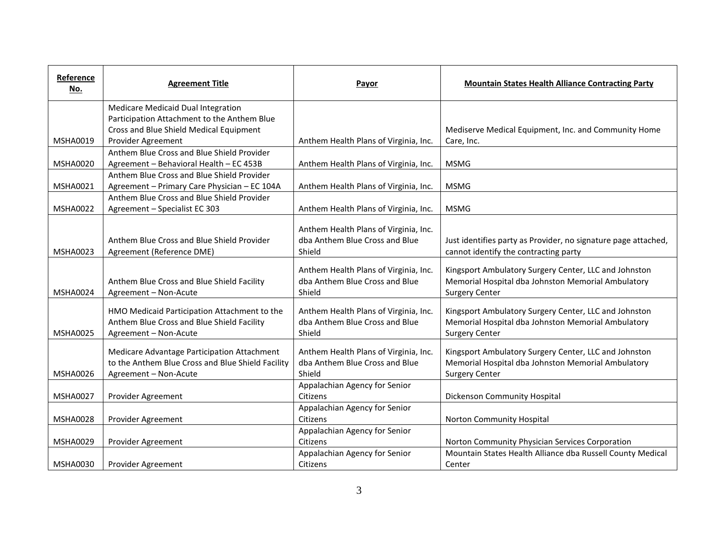| Reference<br>No. | <b>Agreement Title</b>                                                                                                    | Payor                                                                             | <b>Mountain States Health Alliance Contracting Party</b>                                                                             |
|------------------|---------------------------------------------------------------------------------------------------------------------------|-----------------------------------------------------------------------------------|--------------------------------------------------------------------------------------------------------------------------------------|
|                  | Medicare Medicaid Dual Integration                                                                                        |                                                                                   |                                                                                                                                      |
|                  | Participation Attachment to the Anthem Blue                                                                               |                                                                                   |                                                                                                                                      |
|                  | Cross and Blue Shield Medical Equipment                                                                                   |                                                                                   | Mediserve Medical Equipment, Inc. and Community Home                                                                                 |
| <b>MSHA0019</b>  | Provider Agreement                                                                                                        | Anthem Health Plans of Virginia, Inc.                                             | Care, Inc.                                                                                                                           |
|                  | Anthem Blue Cross and Blue Shield Provider                                                                                |                                                                                   |                                                                                                                                      |
| <b>MSHA0020</b>  | Agreement - Behavioral Health - EC 453B                                                                                   | Anthem Health Plans of Virginia, Inc.                                             | <b>MSMG</b>                                                                                                                          |
|                  | Anthem Blue Cross and Blue Shield Provider                                                                                |                                                                                   |                                                                                                                                      |
| <b>MSHA0021</b>  | Agreement - Primary Care Physician - EC 104A                                                                              | Anthem Health Plans of Virginia, Inc.                                             | <b>MSMG</b>                                                                                                                          |
|                  | Anthem Blue Cross and Blue Shield Provider                                                                                |                                                                                   |                                                                                                                                      |
| <b>MSHA0022</b>  | Agreement - Specialist EC 303                                                                                             | Anthem Health Plans of Virginia, Inc.                                             | <b>MSMG</b>                                                                                                                          |
| MSHA0023         | Anthem Blue Cross and Blue Shield Provider<br>Agreement (Reference DME)                                                   | Anthem Health Plans of Virginia, Inc.<br>dba Anthem Blue Cross and Blue<br>Shield | Just identifies party as Provider, no signature page attached,<br>cannot identify the contracting party                              |
| <b>MSHA0024</b>  | Anthem Blue Cross and Blue Shield Facility<br>Agreement - Non-Acute                                                       | Anthem Health Plans of Virginia, Inc.<br>dba Anthem Blue Cross and Blue<br>Shield | Kingsport Ambulatory Surgery Center, LLC and Johnston<br>Memorial Hospital dba Johnston Memorial Ambulatory<br><b>Surgery Center</b> |
| <b>MSHA0025</b>  | HMO Medicaid Participation Attachment to the<br>Anthem Blue Cross and Blue Shield Facility<br>Agreement - Non-Acute       | Anthem Health Plans of Virginia, Inc.<br>dba Anthem Blue Cross and Blue<br>Shield | Kingsport Ambulatory Surgery Center, LLC and Johnston<br>Memorial Hospital dba Johnston Memorial Ambulatory<br><b>Surgery Center</b> |
| <b>MSHA0026</b>  | Medicare Advantage Participation Attachment<br>to the Anthem Blue Cross and Blue Shield Facility<br>Agreement - Non-Acute | Anthem Health Plans of Virginia, Inc.<br>dba Anthem Blue Cross and Blue<br>Shield | Kingsport Ambulatory Surgery Center, LLC and Johnston<br>Memorial Hospital dba Johnston Memorial Ambulatory<br><b>Surgery Center</b> |
|                  |                                                                                                                           | Appalachian Agency for Senior                                                     |                                                                                                                                      |
| <b>MSHA0027</b>  | Provider Agreement                                                                                                        | Citizens                                                                          | Dickenson Community Hospital                                                                                                         |
|                  |                                                                                                                           | Appalachian Agency for Senior                                                     |                                                                                                                                      |
| <b>MSHA0028</b>  | Provider Agreement                                                                                                        | Citizens                                                                          | Norton Community Hospital                                                                                                            |
|                  |                                                                                                                           | Appalachian Agency for Senior                                                     |                                                                                                                                      |
| MSHA0029         | Provider Agreement                                                                                                        | Citizens                                                                          | Norton Community Physician Services Corporation                                                                                      |
| MSHA0030         | Provider Agreement                                                                                                        | Appalachian Agency for Senior<br>Citizens                                         | Mountain States Health Alliance dba Russell County Medical<br>Center                                                                 |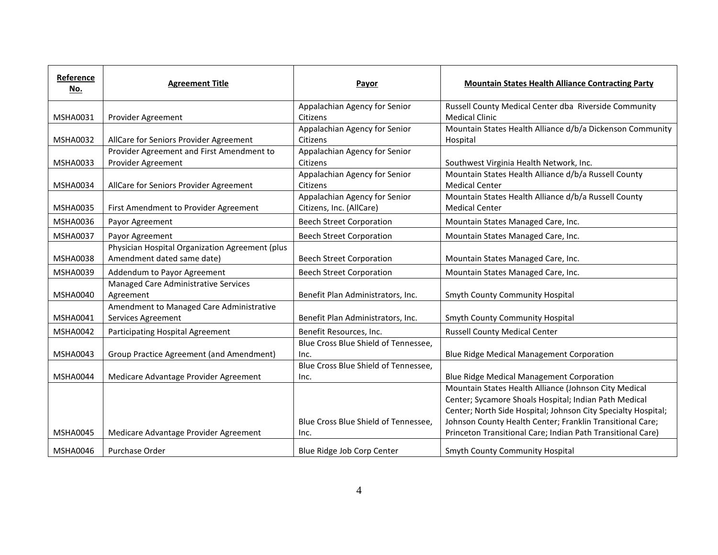| Reference<br>No. | <b>Agreement Title</b>                          | Payor                                | <b>Mountain States Health Alliance Contracting Party</b>      |
|------------------|-------------------------------------------------|--------------------------------------|---------------------------------------------------------------|
|                  |                                                 | Appalachian Agency for Senior        | Russell County Medical Center dba Riverside Community         |
| <b>MSHA0031</b>  | Provider Agreement                              | Citizens                             | <b>Medical Clinic</b>                                         |
|                  |                                                 | Appalachian Agency for Senior        | Mountain States Health Alliance d/b/a Dickenson Community     |
| <b>MSHA0032</b>  | AllCare for Seniors Provider Agreement          | Citizens                             | Hospital                                                      |
|                  | Provider Agreement and First Amendment to       | Appalachian Agency for Senior        |                                                               |
| <b>MSHA0033</b>  | Provider Agreement                              | Citizens                             | Southwest Virginia Health Network, Inc.                       |
|                  |                                                 | Appalachian Agency for Senior        | Mountain States Health Alliance d/b/a Russell County          |
| <b>MSHA0034</b>  | AllCare for Seniors Provider Agreement          | Citizens                             | <b>Medical Center</b>                                         |
|                  |                                                 | Appalachian Agency for Senior        | Mountain States Health Alliance d/b/a Russell County          |
| MSHA0035         | First Amendment to Provider Agreement           | Citizens, Inc. (AllCare)             | <b>Medical Center</b>                                         |
| MSHA0036         | Payor Agreement                                 | <b>Beech Street Corporation</b>      | Mountain States Managed Care, Inc.                            |
| <b>MSHA0037</b>  | Payor Agreement                                 | <b>Beech Street Corporation</b>      | Mountain States Managed Care, Inc.                            |
|                  | Physician Hospital Organization Agreement (plus |                                      |                                                               |
| <b>MSHA0038</b>  | Amendment dated same date)                      | <b>Beech Street Corporation</b>      | Mountain States Managed Care, Inc.                            |
| <b>MSHA0039</b>  | Addendum to Payor Agreement                     | <b>Beech Street Corporation</b>      | Mountain States Managed Care, Inc.                            |
|                  | Managed Care Administrative Services            |                                      |                                                               |
| <b>MSHA0040</b>  | Agreement                                       | Benefit Plan Administrators, Inc.    | Smyth County Community Hospital                               |
|                  | Amendment to Managed Care Administrative        |                                      |                                                               |
| MSHA0041         | Services Agreement                              | Benefit Plan Administrators, Inc.    | Smyth County Community Hospital                               |
| <b>MSHA0042</b>  | Participating Hospital Agreement                | Benefit Resources, Inc.              | <b>Russell County Medical Center</b>                          |
|                  |                                                 | Blue Cross Blue Shield of Tennessee, |                                                               |
| <b>MSHA0043</b>  | Group Practice Agreement (and Amendment)        | Inc.                                 | <b>Blue Ridge Medical Management Corporation</b>              |
|                  |                                                 | Blue Cross Blue Shield of Tennessee, |                                                               |
| <b>MSHA0044</b>  | Medicare Advantage Provider Agreement           | Inc.                                 | <b>Blue Ridge Medical Management Corporation</b>              |
|                  |                                                 |                                      | Mountain States Health Alliance (Johnson City Medical         |
|                  |                                                 |                                      | Center; Sycamore Shoals Hospital; Indian Path Medical         |
|                  |                                                 |                                      | Center; North Side Hospital; Johnson City Specialty Hospital; |
|                  |                                                 | Blue Cross Blue Shield of Tennessee, | Johnson County Health Center; Franklin Transitional Care;     |
| <b>MSHA0045</b>  | Medicare Advantage Provider Agreement           | Inc.                                 | Princeton Transitional Care; Indian Path Transitional Care)   |
| <b>MSHA0046</b>  | Purchase Order                                  | Blue Ridge Job Corp Center           | Smyth County Community Hospital                               |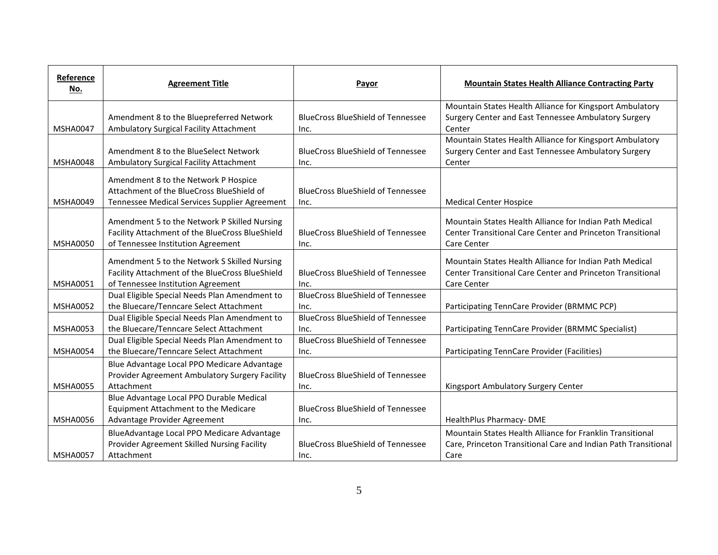| Reference<br>No. | <b>Agreement Title</b>                                                                                                                | Payor                                            | <b>Mountain States Health Alliance Contracting Party</b>                                                                             |
|------------------|---------------------------------------------------------------------------------------------------------------------------------------|--------------------------------------------------|--------------------------------------------------------------------------------------------------------------------------------------|
|                  |                                                                                                                                       |                                                  | Mountain States Health Alliance for Kingsport Ambulatory                                                                             |
|                  | Amendment 8 to the Bluepreferred Network                                                                                              | <b>BlueCross BlueShield of Tennessee</b>         | Surgery Center and East Tennessee Ambulatory Surgery                                                                                 |
| <b>MSHA0047</b>  | Ambulatory Surgical Facility Attachment                                                                                               | Inc.                                             | Center                                                                                                                               |
|                  |                                                                                                                                       |                                                  | Mountain States Health Alliance for Kingsport Ambulatory                                                                             |
|                  | Amendment 8 to the BlueSelect Network                                                                                                 | <b>BlueCross BlueShield of Tennessee</b>         | Surgery Center and East Tennessee Ambulatory Surgery                                                                                 |
| <b>MSHA0048</b>  | Ambulatory Surgical Facility Attachment                                                                                               | Inc.                                             | Center                                                                                                                               |
|                  | Amendment 8 to the Network P Hospice                                                                                                  |                                                  |                                                                                                                                      |
|                  | Attachment of the BlueCross BlueShield of                                                                                             | <b>BlueCross BlueShield of Tennessee</b>         |                                                                                                                                      |
| <b>MSHA0049</b>  | Tennessee Medical Services Supplier Agreement                                                                                         | Inc.                                             | <b>Medical Center Hospice</b>                                                                                                        |
|                  | Amendment 5 to the Network P Skilled Nursing<br>Facility Attachment of the BlueCross BlueShield                                       | <b>BlueCross BlueShield of Tennessee</b>         | Mountain States Health Alliance for Indian Path Medical<br>Center Transitional Care Center and Princeton Transitional                |
| <b>MSHA0050</b>  | of Tennessee Institution Agreement                                                                                                    | Inc.                                             | Care Center                                                                                                                          |
| <b>MSHA0051</b>  | Amendment 5 to the Network S Skilled Nursing<br>Facility Attachment of the BlueCross BlueShield<br>of Tennessee Institution Agreement | <b>BlueCross BlueShield of Tennessee</b><br>Inc. | Mountain States Health Alliance for Indian Path Medical<br>Center Transitional Care Center and Princeton Transitional<br>Care Center |
|                  | Dual Eligible Special Needs Plan Amendment to                                                                                         | <b>BlueCross BlueShield of Tennessee</b>         |                                                                                                                                      |
| <b>MSHA0052</b>  | the Bluecare/Tenncare Select Attachment                                                                                               | Inc.                                             | Participating TennCare Provider (BRMMC PCP)                                                                                          |
|                  | Dual Eligible Special Needs Plan Amendment to                                                                                         | <b>BlueCross BlueShield of Tennessee</b>         |                                                                                                                                      |
| <b>MSHA0053</b>  | the Bluecare/Tenncare Select Attachment                                                                                               | Inc.                                             | Participating TennCare Provider (BRMMC Specialist)                                                                                   |
|                  | Dual Eligible Special Needs Plan Amendment to                                                                                         | <b>BlueCross BlueShield of Tennessee</b>         |                                                                                                                                      |
| <b>MSHA0054</b>  | the Bluecare/Tenncare Select Attachment                                                                                               | Inc.                                             | Participating TennCare Provider (Facilities)                                                                                         |
|                  | Blue Advantage Local PPO Medicare Advantage                                                                                           |                                                  |                                                                                                                                      |
|                  | Provider Agreement Ambulatory Surgery Facility                                                                                        | <b>BlueCross BlueShield of Tennessee</b>         |                                                                                                                                      |
| <b>MSHA0055</b>  | Attachment                                                                                                                            | Inc.                                             | Kingsport Ambulatory Surgery Center                                                                                                  |
|                  | Blue Advantage Local PPO Durable Medical                                                                                              |                                                  |                                                                                                                                      |
|                  | Equipment Attachment to the Medicare                                                                                                  | <b>BlueCross BlueShield of Tennessee</b>         |                                                                                                                                      |
| <b>MSHA0056</b>  | Advantage Provider Agreement                                                                                                          | Inc.                                             | HealthPlus Pharmacy-DME                                                                                                              |
|                  | BlueAdvantage Local PPO Medicare Advantage                                                                                            |                                                  | Mountain States Health Alliance for Franklin Transitional                                                                            |
|                  | Provider Agreement Skilled Nursing Facility                                                                                           | <b>BlueCross BlueShield of Tennessee</b>         | Care, Princeton Transitional Care and Indian Path Transitional                                                                       |
| <b>MSHA0057</b>  | Attachment                                                                                                                            | Inc.                                             | Care                                                                                                                                 |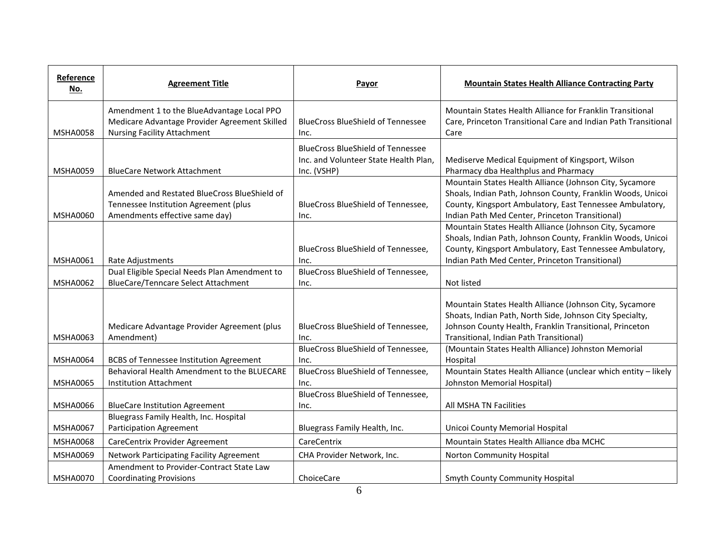| Reference<br>No. | <b>Agreement Title</b>                                                                                                            | Payor                                                                                            | <b>Mountain States Health Alliance Contracting Party</b>                                                                                                                                                                              |
|------------------|-----------------------------------------------------------------------------------------------------------------------------------|--------------------------------------------------------------------------------------------------|---------------------------------------------------------------------------------------------------------------------------------------------------------------------------------------------------------------------------------------|
| <b>MSHA0058</b>  | Amendment 1 to the BlueAdvantage Local PPO<br>Medicare Advantage Provider Agreement Skilled<br><b>Nursing Facility Attachment</b> | <b>BlueCross BlueShield of Tennessee</b><br>Inc.                                                 | Mountain States Health Alliance for Franklin Transitional<br>Care, Princeton Transitional Care and Indian Path Transitional<br>Care                                                                                                   |
| MSHA0059         | <b>BlueCare Network Attachment</b>                                                                                                | <b>BlueCross BlueShield of Tennessee</b><br>Inc. and Volunteer State Health Plan,<br>Inc. (VSHP) | Mediserve Medical Equipment of Kingsport, Wilson<br>Pharmacy dba Healthplus and Pharmacy                                                                                                                                              |
| <b>MSHA0060</b>  | Amended and Restated BlueCross BlueShield of<br>Tennessee Institution Agreement (plus<br>Amendments effective same day)           | BlueCross BlueShield of Tennessee,<br>Inc.                                                       | Mountain States Health Alliance (Johnson City, Sycamore<br>Shoals, Indian Path, Johnson County, Franklin Woods, Unicoi<br>County, Kingsport Ambulatory, East Tennessee Ambulatory,<br>Indian Path Med Center, Princeton Transitional) |
| <b>MSHA0061</b>  | Rate Adjustments                                                                                                                  | BlueCross BlueShield of Tennessee,<br>Inc.                                                       | Mountain States Health Alliance (Johnson City, Sycamore<br>Shoals, Indian Path, Johnson County, Franklin Woods, Unicoi<br>County, Kingsport Ambulatory, East Tennessee Ambulatory,<br>Indian Path Med Center, Princeton Transitional) |
| <b>MSHA0062</b>  | Dual Eligible Special Needs Plan Amendment to<br><b>BlueCare/Tenncare Select Attachment</b>                                       | BlueCross BlueShield of Tennessee,<br>Inc.                                                       | Not listed                                                                                                                                                                                                                            |
| MSHA0063         | Medicare Advantage Provider Agreement (plus<br>Amendment)                                                                         | BlueCross BlueShield of Tennessee,<br>Inc.                                                       | Mountain States Health Alliance (Johnson City, Sycamore<br>Shoats, Indian Path, North Side, Johnson City Specialty,<br>Johnson County Health, Franklin Transitional, Princeton<br>Transitional, Indian Path Transitional)             |
| <b>MSHA0064</b>  | <b>BCBS of Tennessee Institution Agreement</b>                                                                                    | BlueCross BlueShield of Tennessee,<br>Inc.                                                       | (Mountain States Health Alliance) Johnston Memorial<br>Hospital                                                                                                                                                                       |
| <b>MSHA0065</b>  | Behavioral Health Amendment to the BLUECARE<br><b>Institution Attachment</b>                                                      | BlueCross BlueShield of Tennessee,<br>Inc.                                                       | Mountain States Health Alliance (unclear which entity - likely<br>Johnston Memorial Hospital)                                                                                                                                         |
| <b>MSHA0066</b>  | <b>BlueCare Institution Agreement</b>                                                                                             | BlueCross BlueShield of Tennessee,<br>Inc.                                                       | All MSHA TN Facilities                                                                                                                                                                                                                |
| <b>MSHA0067</b>  | Bluegrass Family Health, Inc. Hospital<br><b>Participation Agreement</b>                                                          | Bluegrass Family Health, Inc.                                                                    | Unicoi County Memorial Hospital                                                                                                                                                                                                       |
| <b>MSHA0068</b>  | CareCentrix Provider Agreement                                                                                                    | CareCentrix                                                                                      | Mountain States Health Alliance dba MCHC                                                                                                                                                                                              |
| MSHA0069         | Network Participating Facility Agreement                                                                                          | CHA Provider Network, Inc.                                                                       | Norton Community Hospital                                                                                                                                                                                                             |
| <b>MSHA0070</b>  | Amendment to Provider-Contract State Law<br><b>Coordinating Provisions</b>                                                        | ChoiceCare                                                                                       | <b>Smyth County Community Hospital</b>                                                                                                                                                                                                |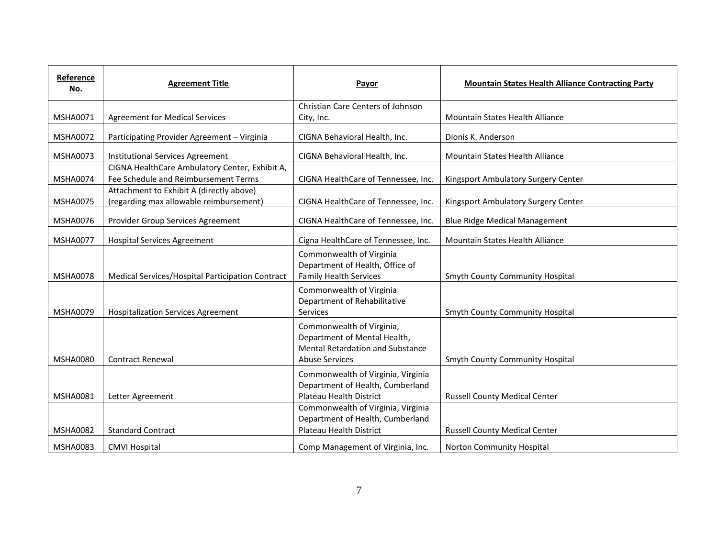| Reference<br>No. | <b>Agreement Title</b>                                                                 | Payor                                                                                                                         | <b>Mountain States Health Alliance Contracting Party</b> |
|------------------|----------------------------------------------------------------------------------------|-------------------------------------------------------------------------------------------------------------------------------|----------------------------------------------------------|
|                  |                                                                                        | Christian Care Centers of Johnson                                                                                             |                                                          |
| <b>MSHA0071</b>  | <b>Agreement for Medical Services</b>                                                  | City, Inc.                                                                                                                    | Mountain States Health Alliance                          |
| <b>MSHA0072</b>  | Participating Provider Agreement - Virginia                                            | CIGNA Behavioral Health, Inc.                                                                                                 | Dionis K. Anderson                                       |
| <b>MSHA0073</b>  | Institutional Services Agreement                                                       | CIGNA Behavioral Health, Inc.                                                                                                 | Mountain States Health Alliance                          |
| <b>MSHA0074</b>  | CIGNA HealthCare Ambulatory Center, Exhibit A,<br>Fee Schedule and Reimbursement Terms | CIGNA HealthCare of Tennessee, Inc.                                                                                           | Kingsport Ambulatory Surgery Center                      |
| <b>MSHA0075</b>  | Attachment to Exhibit A (directly above)<br>(regarding max allowable reimbursement)    | CIGNA HealthCare of Tennessee, Inc.                                                                                           | Kingsport Ambulatory Surgery Center                      |
| <b>MSHA0076</b>  | Provider Group Services Agreement                                                      | CIGNA HealthCare of Tennessee, Inc.                                                                                           | <b>Blue Ridge Medical Management</b>                     |
| <b>MSHA0077</b>  | <b>Hospital Services Agreement</b>                                                     | Cigna HealthCare of Tennessee, Inc.                                                                                           | Mountain States Health Alliance                          |
| <b>MSHA0078</b>  | Medical Services/Hospital Participation Contract                                       | Commonwealth of Virginia<br>Department of Health, Office of<br><b>Family Health Services</b>                                  | Smyth County Community Hospital                          |
| <b>MSHA0079</b>  | <b>Hospitalization Services Agreement</b>                                              | Commonwealth of Virginia<br>Department of Rehabilitative<br>Services                                                          | Smyth County Community Hospital                          |
| <b>MSHA0080</b>  | <b>Contract Renewal</b>                                                                | Commonwealth of Virginia,<br>Department of Mental Health,<br><b>Mental Retardation and Substance</b><br><b>Abuse Services</b> | <b>Smyth County Community Hospital</b>                   |
| <b>MSHA0081</b>  | Letter Agreement                                                                       | Commonwealth of Virginia, Virginia<br>Department of Health, Cumberland<br>Plateau Health District                             | <b>Russell County Medical Center</b>                     |
| <b>MSHA0082</b>  | <b>Standard Contract</b>                                                               | Commonwealth of Virginia, Virginia<br>Department of Health, Cumberland<br>Plateau Health District                             | <b>Russell County Medical Center</b>                     |
|                  |                                                                                        |                                                                                                                               |                                                          |
| <b>MSHA0083</b>  | <b>CMVI Hospital</b>                                                                   | Comp Management of Virginia, Inc.                                                                                             | <b>Norton Community Hospital</b>                         |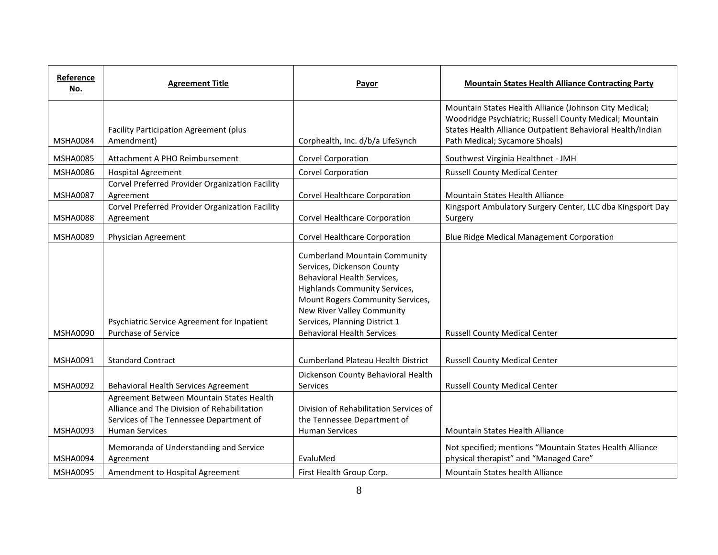| Reference<br>No. | <b>Agreement Title</b>                                                                                                                                      | Payor                                                                                                                                                                                                                                                                      | <b>Mountain States Health Alliance Contracting Party</b>                                                                                                                                                          |
|------------------|-------------------------------------------------------------------------------------------------------------------------------------------------------------|----------------------------------------------------------------------------------------------------------------------------------------------------------------------------------------------------------------------------------------------------------------------------|-------------------------------------------------------------------------------------------------------------------------------------------------------------------------------------------------------------------|
| <b>MSHA0084</b>  | Facility Participation Agreement (plus<br>Amendment)                                                                                                        | Corphealth, Inc. d/b/a LifeSynch                                                                                                                                                                                                                                           | Mountain States Health Alliance (Johnson City Medical;<br>Woodridge Psychiatric; Russell County Medical; Mountain<br>States Health Alliance Outpatient Behavioral Health/Indian<br>Path Medical; Sycamore Shoals) |
| <b>MSHA0085</b>  | Attachment A PHO Reimbursement                                                                                                                              | <b>Corvel Corporation</b>                                                                                                                                                                                                                                                  | Southwest Virginia Healthnet - JMH                                                                                                                                                                                |
| <b>MSHA0086</b>  | <b>Hospital Agreement</b>                                                                                                                                   | <b>Corvel Corporation</b>                                                                                                                                                                                                                                                  | <b>Russell County Medical Center</b>                                                                                                                                                                              |
| <b>MSHA0087</b>  | Corvel Preferred Provider Organization Facility<br>Agreement                                                                                                | Corvel Healthcare Corporation                                                                                                                                                                                                                                              | Mountain States Health Alliance                                                                                                                                                                                   |
| <b>MSHA0088</b>  | Corvel Preferred Provider Organization Facility<br>Agreement                                                                                                | Corvel Healthcare Corporation                                                                                                                                                                                                                                              | Kingsport Ambulatory Surgery Center, LLC dba Kingsport Day<br>Surgery                                                                                                                                             |
| <b>MSHA0089</b>  | Physician Agreement                                                                                                                                         | Corvel Healthcare Corporation                                                                                                                                                                                                                                              | Blue Ridge Medical Management Corporation                                                                                                                                                                         |
| <b>MSHA0090</b>  | Psychiatric Service Agreement for Inpatient<br><b>Purchase of Service</b>                                                                                   | <b>Cumberland Mountain Community</b><br>Services, Dickenson County<br>Behavioral Health Services,<br>Highlands Community Services,<br>Mount Rogers Community Services,<br>New River Valley Community<br>Services, Planning District 1<br><b>Behavioral Health Services</b> | <b>Russell County Medical Center</b>                                                                                                                                                                              |
| <b>MSHA0091</b>  | <b>Standard Contract</b>                                                                                                                                    | <b>Cumberland Plateau Health District</b>                                                                                                                                                                                                                                  | <b>Russell County Medical Center</b>                                                                                                                                                                              |
| <b>MSHA0092</b>  | Behavioral Health Services Agreement                                                                                                                        | Dickenson County Behavioral Health<br>Services                                                                                                                                                                                                                             | <b>Russell County Medical Center</b>                                                                                                                                                                              |
| <b>MSHA0093</b>  | Agreement Between Mountain States Health<br>Alliance and The Division of Rehabilitation<br>Services of The Tennessee Department of<br><b>Human Services</b> | Division of Rehabilitation Services of<br>the Tennessee Department of<br><b>Human Services</b>                                                                                                                                                                             | Mountain States Health Alliance                                                                                                                                                                                   |
| <b>MSHA0094</b>  | Memoranda of Understanding and Service<br>Agreement                                                                                                         | EvaluMed                                                                                                                                                                                                                                                                   | Not specified; mentions "Mountain States Health Alliance<br>physical therapist" and "Managed Care"                                                                                                                |
| <b>MSHA0095</b>  | Amendment to Hospital Agreement                                                                                                                             | First Health Group Corp.                                                                                                                                                                                                                                                   | <b>Mountain States health Alliance</b>                                                                                                                                                                            |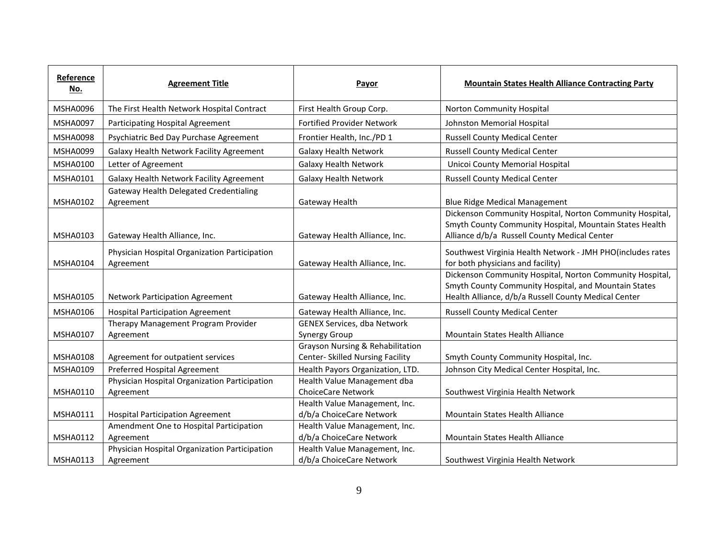| Reference<br>No.            | <b>Agreement Title</b>                                                                      | Payor                                                                | <b>Mountain States Health Alliance Contracting Party</b>                                                                                                                                                    |
|-----------------------------|---------------------------------------------------------------------------------------------|----------------------------------------------------------------------|-------------------------------------------------------------------------------------------------------------------------------------------------------------------------------------------------------------|
| <b>MSHA0096</b>             | The First Health Network Hospital Contract                                                  | First Health Group Corp.                                             | Norton Community Hospital                                                                                                                                                                                   |
| <b>MSHA0097</b>             | Participating Hospital Agreement                                                            | <b>Fortified Provider Network</b>                                    | Johnston Memorial Hospital                                                                                                                                                                                  |
| <b>MSHA0098</b>             | Psychiatric Bed Day Purchase Agreement                                                      | Frontier Health, Inc./PD 1                                           | <b>Russell County Medical Center</b>                                                                                                                                                                        |
| <b>MSHA0099</b>             | Galaxy Health Network Facility Agreement                                                    | <b>Galaxy Health Network</b>                                         | <b>Russell County Medical Center</b>                                                                                                                                                                        |
| <b>MSHA0100</b>             | Letter of Agreement                                                                         | <b>Galaxy Health Network</b>                                         | Unicoi County Memorial Hospital                                                                                                                                                                             |
| <b>MSHA0101</b>             | Galaxy Health Network Facility Agreement                                                    | <b>Galaxy Health Network</b>                                         | <b>Russell County Medical Center</b>                                                                                                                                                                        |
| MSHA0102<br><b>MSHA0103</b> | <b>Gateway Health Delegated Credentialing</b><br>Agreement<br>Gateway Health Alliance, Inc. | Gateway Health<br>Gateway Health Alliance, Inc.                      | <b>Blue Ridge Medical Management</b><br>Dickenson Community Hospital, Norton Community Hospital,<br>Smyth County Community Hospital, Mountain States Health<br>Alliance d/b/a Russell County Medical Center |
| <b>MSHA0104</b>             | Physician Hospital Organization Participation<br>Agreement                                  | Gateway Health Alliance, Inc.                                        | Southwest Virginia Health Network - JMH PHO(includes rates<br>for both physicians and facility)<br>Dickenson Community Hospital, Norton Community Hospital,                                                 |
| <b>MSHA0105</b>             | <b>Network Participation Agreement</b>                                                      | Gateway Health Alliance, Inc.                                        | Smyth County Community Hospital, and Mountain States<br>Health Alliance, d/b/a Russell County Medical Center                                                                                                |
| MSHA0106                    | <b>Hospital Participation Agreement</b>                                                     | Gateway Health Alliance, Inc.                                        | <b>Russell County Medical Center</b>                                                                                                                                                                        |
| <b>MSHA0107</b>             | Therapy Management Program Provider<br>Agreement                                            | <b>GENEX Services, dba Network</b><br><b>Synergy Group</b>           | Mountain States Health Alliance                                                                                                                                                                             |
| MSHA0108                    | Agreement for outpatient services                                                           | Grayson Nursing & Rehabilitation<br>Center- Skilled Nursing Facility | Smyth County Community Hospital, Inc.                                                                                                                                                                       |
| <b>MSHA0109</b>             | Preferred Hospital Agreement                                                                | Health Payors Organization, LTD.                                     | Johnson City Medical Center Hospital, Inc.                                                                                                                                                                  |
| MSHA0110                    | Physician Hospital Organization Participation<br>Agreement                                  | Health Value Management dba<br><b>ChoiceCare Network</b>             | Southwest Virginia Health Network                                                                                                                                                                           |
| <b>MSHA0111</b>             | <b>Hospital Participation Agreement</b>                                                     | Health Value Management, Inc.<br>d/b/a ChoiceCare Network            | <b>Mountain States Health Alliance</b>                                                                                                                                                                      |
| MSHA0112                    | Amendment One to Hospital Participation<br>Agreement                                        | Health Value Management, Inc.<br>d/b/a ChoiceCare Network            | Mountain States Health Alliance                                                                                                                                                                             |
| <b>MSHA0113</b>             | Physician Hospital Organization Participation<br>Agreement                                  | Health Value Management, Inc.<br>d/b/a ChoiceCare Network            | Southwest Virginia Health Network                                                                                                                                                                           |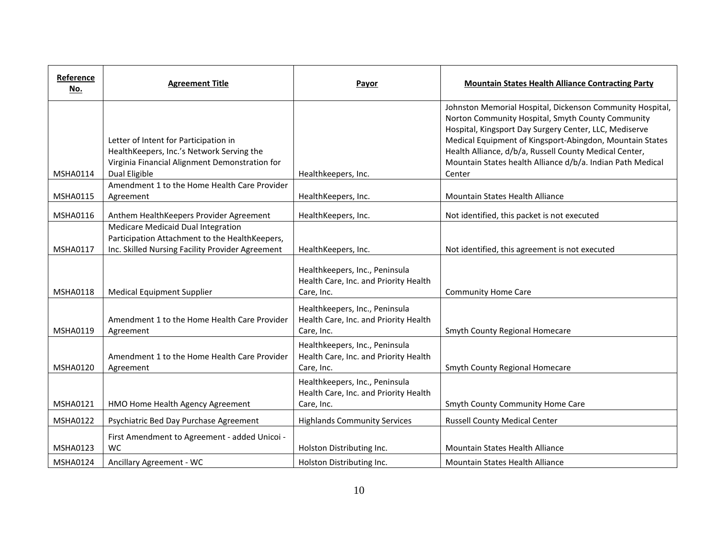| Reference<br>No. | <b>Agreement Title</b>                                                                                                                   | <b>Payor</b>                                                                          | <b>Mountain States Health Alliance Contracting Party</b>                                                                                                                                                                                                                                                                                                     |
|------------------|------------------------------------------------------------------------------------------------------------------------------------------|---------------------------------------------------------------------------------------|--------------------------------------------------------------------------------------------------------------------------------------------------------------------------------------------------------------------------------------------------------------------------------------------------------------------------------------------------------------|
|                  | Letter of Intent for Participation in<br>HealthKeepers, Inc.'s Network Serving the<br>Virginia Financial Alignment Demonstration for     |                                                                                       | Johnston Memorial Hospital, Dickenson Community Hospital,<br>Norton Community Hospital, Smyth County Community<br>Hospital, Kingsport Day Surgery Center, LLC, Mediserve<br>Medical Equipment of Kingsport-Abingdon, Mountain States<br>Health Alliance, d/b/a, Russell County Medical Center,<br>Mountain States health Alliance d/b/a. Indian Path Medical |
| <b>MSHA0114</b>  | Dual Eligible<br>Amendment 1 to the Home Health Care Provider                                                                            | Healthkeepers, Inc.                                                                   | Center                                                                                                                                                                                                                                                                                                                                                       |
| <b>MSHA0115</b>  | Agreement                                                                                                                                | HealthKeepers, Inc.                                                                   | Mountain States Health Alliance                                                                                                                                                                                                                                                                                                                              |
| MSHA0116         | Anthem HealthKeepers Provider Agreement                                                                                                  | HealthKeepers, Inc.                                                                   | Not identified, this packet is not executed                                                                                                                                                                                                                                                                                                                  |
| MSHA0117         | Medicare Medicaid Dual Integration<br>Participation Attachment to the HealthKeepers,<br>Inc. Skilled Nursing Facility Provider Agreement | HealthKeepers, Inc.                                                                   | Not identified, this agreement is not executed                                                                                                                                                                                                                                                                                                               |
| <b>MSHA0118</b>  | <b>Medical Equipment Supplier</b>                                                                                                        | Healthkeepers, Inc., Peninsula<br>Health Care, Inc. and Priority Health<br>Care, Inc. | <b>Community Home Care</b>                                                                                                                                                                                                                                                                                                                                   |
| <b>MSHA0119</b>  | Amendment 1 to the Home Health Care Provider<br>Agreement                                                                                | Healthkeepers, Inc., Peninsula<br>Health Care, Inc. and Priority Health<br>Care, Inc. | Smyth County Regional Homecare                                                                                                                                                                                                                                                                                                                               |
| <b>MSHA0120</b>  | Amendment 1 to the Home Health Care Provider<br>Agreement                                                                                | Healthkeepers, Inc., Peninsula<br>Health Care, Inc. and Priority Health<br>Care, Inc. | Smyth County Regional Homecare                                                                                                                                                                                                                                                                                                                               |
| MSHA0121         | HMO Home Health Agency Agreement                                                                                                         | Healthkeepers, Inc., Peninsula<br>Health Care, Inc. and Priority Health<br>Care, Inc. | Smyth County Community Home Care                                                                                                                                                                                                                                                                                                                             |
| <b>MSHA0122</b>  | Psychiatric Bed Day Purchase Agreement                                                                                                   | <b>Highlands Community Services</b>                                                   | <b>Russell County Medical Center</b>                                                                                                                                                                                                                                                                                                                         |
| <b>MSHA0123</b>  | First Amendment to Agreement - added Unicoi -<br><b>WC</b>                                                                               | Holston Distributing Inc.                                                             | Mountain States Health Alliance                                                                                                                                                                                                                                                                                                                              |
| <b>MSHA0124</b>  | Ancillary Agreement - WC                                                                                                                 | Holston Distributing Inc.                                                             | Mountain States Health Alliance                                                                                                                                                                                                                                                                                                                              |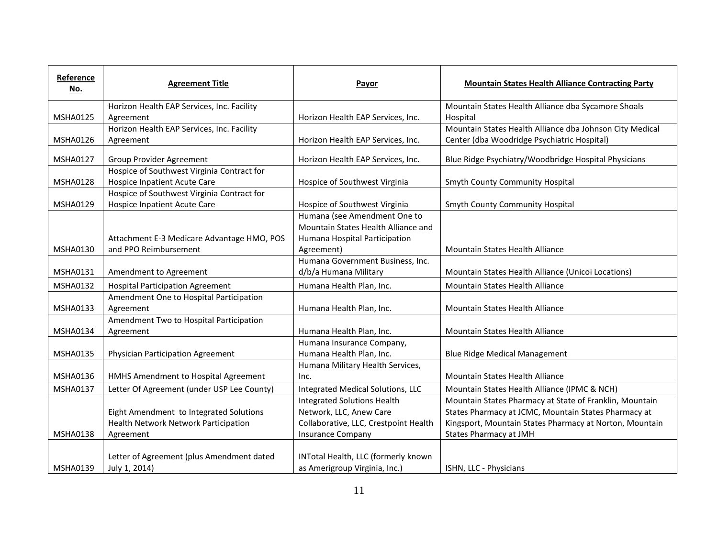| Reference<br>No. | <b>Agreement Title</b>                     | Payor                                 | <b>Mountain States Health Alliance Contracting Party</b> |
|------------------|--------------------------------------------|---------------------------------------|----------------------------------------------------------|
|                  | Horizon Health EAP Services, Inc. Facility |                                       | Mountain States Health Alliance dba Sycamore Shoals      |
| MSHA0125         | Agreement                                  | Horizon Health EAP Services, Inc.     | Hospital                                                 |
|                  | Horizon Health EAP Services, Inc. Facility |                                       | Mountain States Health Alliance dba Johnson City Medical |
| MSHA0126         | Agreement                                  | Horizon Health EAP Services, Inc.     | Center (dba Woodridge Psychiatric Hospital)              |
| <b>MSHA0127</b>  | Group Provider Agreement                   | Horizon Health EAP Services, Inc.     | Blue Ridge Psychiatry/Woodbridge Hospital Physicians     |
|                  | Hospice of Southwest Virginia Contract for |                                       |                                                          |
| <b>MSHA0128</b>  | <b>Hospice Inpatient Acute Care</b>        | Hospice of Southwest Virginia         | Smyth County Community Hospital                          |
|                  | Hospice of Southwest Virginia Contract for |                                       |                                                          |
| MSHA0129         | Hospice Inpatient Acute Care               | Hospice of Southwest Virginia         | <b>Smyth County Community Hospital</b>                   |
|                  |                                            | Humana (see Amendment One to          |                                                          |
|                  |                                            | Mountain States Health Alliance and   |                                                          |
|                  | Attachment E-3 Medicare Advantage HMO, POS | Humana Hospital Participation         |                                                          |
| <b>MSHA0130</b>  | and PPO Reimbursement                      | Agreement)                            | Mountain States Health Alliance                          |
|                  |                                            | Humana Government Business, Inc.      |                                                          |
| MSHA0131         | Amendment to Agreement                     | d/b/a Humana Military                 | Mountain States Health Alliance (Unicoi Locations)       |
| <b>MSHA0132</b>  | <b>Hospital Participation Agreement</b>    | Humana Health Plan, Inc.              | Mountain States Health Alliance                          |
|                  | Amendment One to Hospital Participation    |                                       |                                                          |
| <b>MSHA0133</b>  | Agreement                                  | Humana Health Plan, Inc.              | Mountain States Health Alliance                          |
|                  | Amendment Two to Hospital Participation    |                                       |                                                          |
| <b>MSHA0134</b>  | Agreement                                  | Humana Health Plan, Inc.              | Mountain States Health Alliance                          |
|                  |                                            | Humana Insurance Company,             |                                                          |
| MSHA0135         | Physician Participation Agreement          | Humana Health Plan, Inc.              | <b>Blue Ridge Medical Management</b>                     |
|                  |                                            | Humana Military Health Services,      |                                                          |
| MSHA0136         | HMHS Amendment to Hospital Agreement       | Inc.                                  | Mountain States Health Alliance                          |
| <b>MSHA0137</b>  | Letter Of Agreement (under USP Lee County) | Integrated Medical Solutions, LLC     | Mountain States Health Alliance (IPMC & NCH)             |
|                  |                                            | <b>Integrated Solutions Health</b>    | Mountain States Pharmacy at State of Franklin, Mountain  |
|                  | Eight Amendment to Integrated Solutions    | Network, LLC, Anew Care               | States Pharmacy at JCMC, Mountain States Pharmacy at     |
|                  | Health Network Network Participation       | Collaborative, LLC, Crestpoint Health | Kingsport, Mountain States Pharmacy at Norton, Mountain  |
| <b>MSHA0138</b>  | Agreement                                  | <b>Insurance Company</b>              | States Pharmacy at JMH                                   |
|                  |                                            |                                       |                                                          |
|                  | Letter of Agreement (plus Amendment dated  | INTotal Health, LLC (formerly known   |                                                          |
| <b>MSHA0139</b>  | July 1, 2014)                              | as Amerigroup Virginia, Inc.)         | ISHN, LLC - Physicians                                   |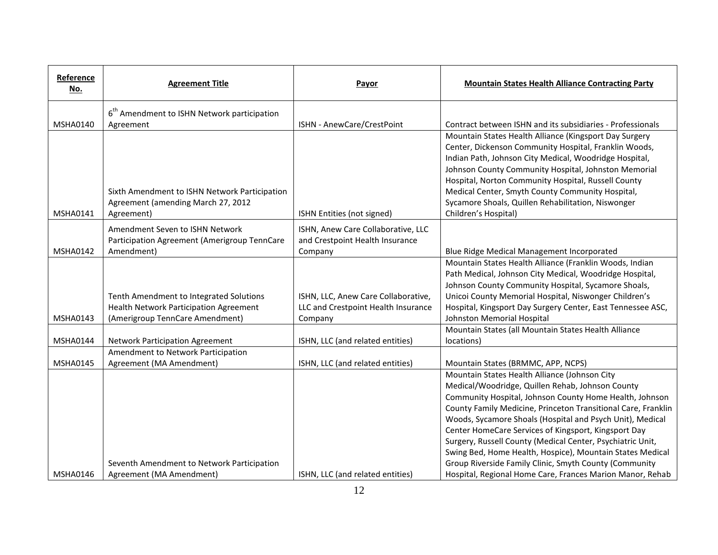| Reference<br><u>No.</u> | <b>Agreement Title</b>                        | Payor                                                                 | <b>Mountain States Health Alliance Contracting Party</b>                                                |
|-------------------------|-----------------------------------------------|-----------------------------------------------------------------------|---------------------------------------------------------------------------------------------------------|
|                         | $6th$ Amendment to ISHN Network participation |                                                                       |                                                                                                         |
| <b>MSHA0140</b>         | Agreement                                     | ISHN - AnewCare/CrestPoint                                            | Contract between ISHN and its subsidiaries - Professionals                                              |
|                         |                                               |                                                                       | Mountain States Health Alliance (Kingsport Day Surgery                                                  |
|                         |                                               |                                                                       | Center, Dickenson Community Hospital, Franklin Woods,                                                   |
|                         |                                               |                                                                       | Indian Path, Johnson City Medical, Woodridge Hospital,                                                  |
|                         |                                               |                                                                       | Johnson County Community Hospital, Johnston Memorial                                                    |
|                         | Sixth Amendment to ISHN Network Participation |                                                                       | Hospital, Norton Community Hospital, Russell County<br>Medical Center, Smyth County Community Hospital, |
|                         | Agreement (amending March 27, 2012            |                                                                       | Sycamore Shoals, Quillen Rehabilitation, Niswonger                                                      |
| <b>MSHA0141</b>         | Agreement)                                    | ISHN Entities (not signed)                                            | Children's Hospital)                                                                                    |
|                         | Amendment Seven to ISHN Network               |                                                                       |                                                                                                         |
|                         | Participation Agreement (Amerigroup TennCare  | ISHN, Anew Care Collaborative, LLC<br>and Crestpoint Health Insurance |                                                                                                         |
| <b>MSHA0142</b>         | Amendment)                                    | Company                                                               | Blue Ridge Medical Management Incorporated                                                              |
|                         |                                               |                                                                       | Mountain States Health Alliance (Franklin Woods, Indian                                                 |
|                         |                                               |                                                                       | Path Medical, Johnson City Medical, Woodridge Hospital,                                                 |
|                         |                                               |                                                                       | Johnson County Community Hospital, Sycamore Shoals,                                                     |
|                         | Tenth Amendment to Integrated Solutions       | ISHN, LLC, Anew Care Collaborative,                                   | Unicoi County Memorial Hospital, Niswonger Children's                                                   |
|                         | Health Network Participation Agreement        | LLC and Crestpoint Health Insurance                                   | Hospital, Kingsport Day Surgery Center, East Tennessee ASC,                                             |
| <b>MSHA0143</b>         | (Amerigroup TennCare Amendment)               | Company                                                               | Johnston Memorial Hospital                                                                              |
|                         |                                               |                                                                       | Mountain States (all Mountain States Health Alliance                                                    |
| <b>MSHA0144</b>         | <b>Network Participation Agreement</b>        | ISHN, LLC (and related entities)                                      | locations)                                                                                              |
|                         | Amendment to Network Participation            |                                                                       |                                                                                                         |
| <b>MSHA0145</b>         | Agreement (MA Amendment)                      | ISHN, LLC (and related entities)                                      | Mountain States (BRMMC, APP, NCPS)                                                                      |
|                         |                                               |                                                                       | Mountain States Health Alliance (Johnson City<br>Medical/Woodridge, Quillen Rehab, Johnson County       |
|                         |                                               |                                                                       | Community Hospital, Johnson County Home Health, Johnson                                                 |
|                         |                                               |                                                                       | County Family Medicine, Princeton Transitional Care, Franklin                                           |
|                         |                                               |                                                                       | Woods, Sycamore Shoals (Hospital and Psych Unit), Medical                                               |
|                         |                                               |                                                                       | Center HomeCare Services of Kingsport, Kingsport Day                                                    |
|                         |                                               |                                                                       | Surgery, Russell County (Medical Center, Psychiatric Unit,                                              |
|                         |                                               |                                                                       | Swing Bed, Home Health, Hospice), Mountain States Medical                                               |
|                         | Seventh Amendment to Network Participation    |                                                                       | Group Riverside Family Clinic, Smyth County (Community                                                  |
| <b>MSHA0146</b>         | Agreement (MA Amendment)                      | ISHN, LLC (and related entities)                                      | Hospital, Regional Home Care, Frances Marion Manor, Rehab                                               |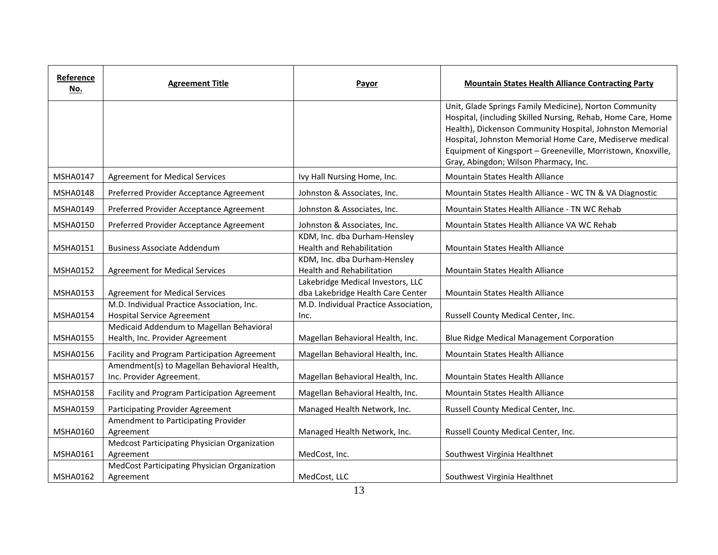| Reference<br>No. | <b>Agreement Title</b>                                                          | Payor                                                                  | <b>Mountain States Health Alliance Contracting Party</b>                                                                                                                                                                                                                                                                                                |
|------------------|---------------------------------------------------------------------------------|------------------------------------------------------------------------|---------------------------------------------------------------------------------------------------------------------------------------------------------------------------------------------------------------------------------------------------------------------------------------------------------------------------------------------------------|
|                  |                                                                                 |                                                                        | Unit, Glade Springs Family Medicine), Norton Community<br>Hospital, (including Skilled Nursing, Rehab, Home Care, Home<br>Health), Dickenson Community Hospital, Johnston Memorial<br>Hospital, Johnston Memorial Home Care, Mediserve medical<br>Equipment of Kingsport - Greeneville, Morristown, Knoxville,<br>Gray, Abingdon; Wilson Pharmacy, Inc. |
| MSHA0147         | <b>Agreement for Medical Services</b>                                           | Ivy Hall Nursing Home, Inc.                                            | <b>Mountain States Health Alliance</b>                                                                                                                                                                                                                                                                                                                  |
| <b>MSHA0148</b>  | Preferred Provider Acceptance Agreement                                         | Johnston & Associates, Inc.                                            | Mountain States Health Alliance - WC TN & VA Diagnostic                                                                                                                                                                                                                                                                                                 |
| MSHA0149         | Preferred Provider Acceptance Agreement                                         | Johnston & Associates, Inc.                                            | Mountain States Health Alliance - TN WC Rehab                                                                                                                                                                                                                                                                                                           |
| MSHA0150         | Preferred Provider Acceptance Agreement                                         | Johnston & Associates, Inc.                                            | Mountain States Health Alliance VA WC Rehab                                                                                                                                                                                                                                                                                                             |
| MSHA0151         | <b>Business Associate Addendum</b>                                              | KDM, Inc. dba Durham-Hensley<br><b>Health and Rehabilitation</b>       | Mountain States Health Alliance                                                                                                                                                                                                                                                                                                                         |
| <b>MSHA0152</b>  | <b>Agreement for Medical Services</b>                                           | KDM, Inc. dba Durham-Hensley<br><b>Health and Rehabilitation</b>       | Mountain States Health Alliance                                                                                                                                                                                                                                                                                                                         |
| MSHA0153         | <b>Agreement for Medical Services</b>                                           | Lakebridge Medical Investors, LLC<br>dba Lakebridge Health Care Center | Mountain States Health Alliance                                                                                                                                                                                                                                                                                                                         |
| <b>MSHA0154</b>  | M.D. Individual Practice Association, Inc.<br><b>Hospital Service Agreement</b> | M.D. Individual Practice Association,<br>Inc.                          | Russell County Medical Center, Inc.                                                                                                                                                                                                                                                                                                                     |
| MSHA0155         | Medicaid Addendum to Magellan Behavioral<br>Health, Inc. Provider Agreement     | Magellan Behavioral Health, Inc.                                       | <b>Blue Ridge Medical Management Corporation</b>                                                                                                                                                                                                                                                                                                        |
| MSHA0156         | Facility and Program Participation Agreement                                    | Magellan Behavioral Health, Inc.                                       | <b>Mountain States Health Alliance</b>                                                                                                                                                                                                                                                                                                                  |
| <b>MSHA0157</b>  | Amendment(s) to Magellan Behavioral Health,<br>Inc. Provider Agreement.         | Magellan Behavioral Health, Inc.                                       | Mountain States Health Alliance                                                                                                                                                                                                                                                                                                                         |
| <b>MSHA0158</b>  | Facility and Program Participation Agreement                                    | Magellan Behavioral Health, Inc.                                       | Mountain States Health Alliance                                                                                                                                                                                                                                                                                                                         |
| <b>MSHA0159</b>  | Participating Provider Agreement                                                | Managed Health Network, Inc.                                           | Russell County Medical Center, Inc.                                                                                                                                                                                                                                                                                                                     |
| MSHA0160         | Amendment to Participating Provider<br>Agreement                                | Managed Health Network, Inc.                                           | Russell County Medical Center, Inc.                                                                                                                                                                                                                                                                                                                     |
| MSHA0161         | Medcost Participating Physician Organization<br>Agreement                       | MedCost, Inc.                                                          | Southwest Virginia Healthnet                                                                                                                                                                                                                                                                                                                            |
| <b>MSHA0162</b>  | MedCost Participating Physician Organization<br>Agreement                       | MedCost, LLC                                                           | Southwest Virginia Healthnet                                                                                                                                                                                                                                                                                                                            |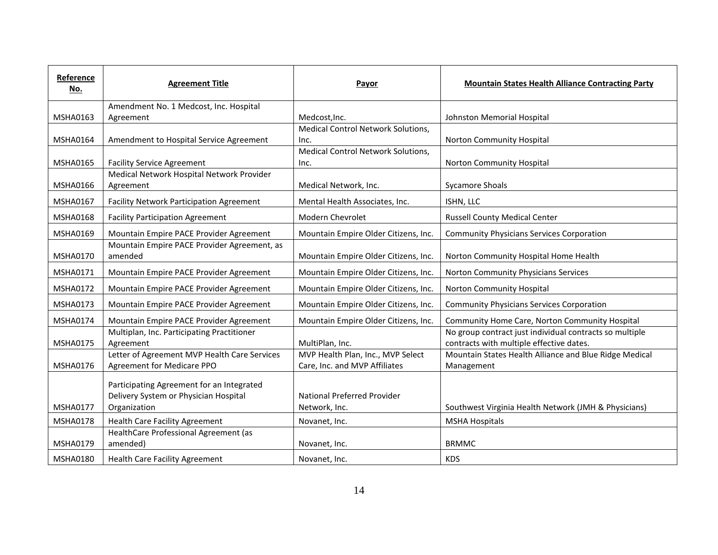| Reference<br>No. | <b>Agreement Title</b>                                                                             | Payor                                                              | <b>Mountain States Health Alliance Contracting Party</b>                                            |
|------------------|----------------------------------------------------------------------------------------------------|--------------------------------------------------------------------|-----------------------------------------------------------------------------------------------------|
|                  | Amendment No. 1 Medcost, Inc. Hospital                                                             |                                                                    |                                                                                                     |
| MSHA0163         | Agreement                                                                                          | Medcost, Inc.                                                      | Johnston Memorial Hospital                                                                          |
| <b>MSHA0164</b>  | Amendment to Hospital Service Agreement                                                            | <b>Medical Control Network Solutions,</b><br>Inc.                  | Norton Community Hospital                                                                           |
|                  |                                                                                                    | <b>Medical Control Network Solutions,</b>                          |                                                                                                     |
| <b>MSHA0165</b>  | <b>Facility Service Agreement</b>                                                                  | Inc.                                                               | Norton Community Hospital                                                                           |
|                  | Medical Network Hospital Network Provider                                                          |                                                                    |                                                                                                     |
| <b>MSHA0166</b>  | Agreement                                                                                          | Medical Network, Inc.                                              | <b>Sycamore Shoals</b>                                                                              |
| <b>MSHA0167</b>  | <b>Facility Network Participation Agreement</b>                                                    | Mental Health Associates, Inc.                                     | ISHN, LLC                                                                                           |
| <b>MSHA0168</b>  | <b>Facility Participation Agreement</b>                                                            | Modern Chevrolet                                                   | <b>Russell County Medical Center</b>                                                                |
| <b>MSHA0169</b>  | Mountain Empire PACE Provider Agreement                                                            | Mountain Empire Older Citizens, Inc.                               | <b>Community Physicians Services Corporation</b>                                                    |
| <b>MSHA0170</b>  | Mountain Empire PACE Provider Agreement, as<br>amended                                             | Mountain Empire Older Citizens, Inc.                               | Norton Community Hospital Home Health                                                               |
| <b>MSHA0171</b>  | Mountain Empire PACE Provider Agreement                                                            | Mountain Empire Older Citizens, Inc.                               | Norton Community Physicians Services                                                                |
| <b>MSHA0172</b>  | Mountain Empire PACE Provider Agreement                                                            | Mountain Empire Older Citizens, Inc.                               | Norton Community Hospital                                                                           |
| <b>MSHA0173</b>  | Mountain Empire PACE Provider Agreement                                                            | Mountain Empire Older Citizens, Inc.                               | <b>Community Physicians Services Corporation</b>                                                    |
| <b>MSHA0174</b>  | Mountain Empire PACE Provider Agreement                                                            | Mountain Empire Older Citizens, Inc.                               | Community Home Care, Norton Community Hospital                                                      |
| <b>MSHA0175</b>  | Multiplan, Inc. Participating Practitioner<br>Agreement                                            | MultiPlan, Inc.                                                    | No group contract just individual contracts so multiple<br>contracts with multiple effective dates. |
| <b>MSHA0176</b>  | Letter of Agreement MVP Health Care Services<br>Agreement for Medicare PPO                         | MVP Health Plan, Inc., MVP Select<br>Care, Inc. and MVP Affiliates | Mountain States Health Alliance and Blue Ridge Medical<br>Management                                |
| <b>MSHA0177</b>  | Participating Agreement for an Integrated<br>Delivery System or Physician Hospital<br>Organization | National Preferred Provider<br>Network, Inc.                       | Southwest Virginia Health Network (JMH & Physicians)                                                |
| <b>MSHA0178</b>  | <b>Health Care Facility Agreement</b>                                                              | Novanet, Inc.                                                      | <b>MSHA Hospitals</b>                                                                               |
| MSHA0179         | HealthCare Professional Agreement (as<br>amended)                                                  | Novanet, Inc.                                                      | <b>BRMMC</b>                                                                                        |
| <b>MSHA0180</b>  | <b>Health Care Facility Agreement</b>                                                              | Novanet, Inc.                                                      | <b>KDS</b>                                                                                          |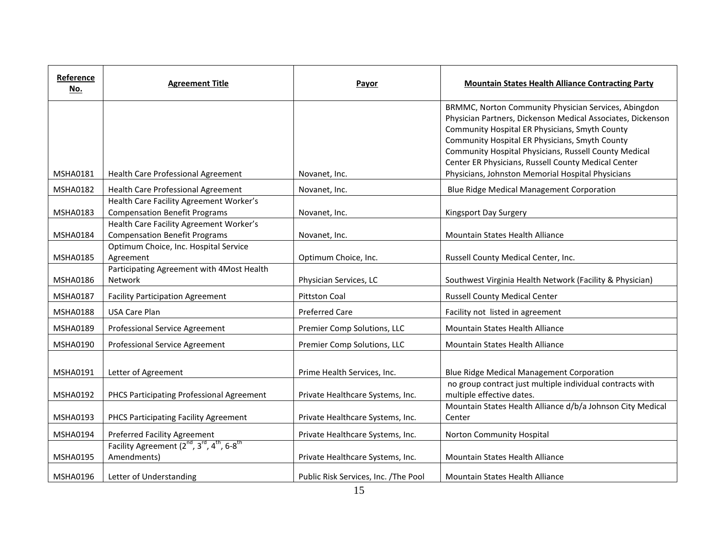| Reference<br>No. | <b>Agreement Title</b>                                                                                     | Payor                                | <b>Mountain States Health Alliance Contracting Party</b>                                                                                                                                                                                                                                                                                                                                     |
|------------------|------------------------------------------------------------------------------------------------------------|--------------------------------------|----------------------------------------------------------------------------------------------------------------------------------------------------------------------------------------------------------------------------------------------------------------------------------------------------------------------------------------------------------------------------------------------|
| <b>MSHA0181</b>  | Health Care Professional Agreement                                                                         | Novanet, Inc.                        | BRMMC, Norton Community Physician Services, Abingdon<br>Physician Partners, Dickenson Medical Associates, Dickenson<br>Community Hospital ER Physicians, Smyth County<br>Community Hospital ER Physicians, Smyth County<br>Community Hospital Physicians, Russell County Medical<br>Center ER Physicians, Russell County Medical Center<br>Physicians, Johnston Memorial Hospital Physicians |
| <b>MSHA0182</b>  | Health Care Professional Agreement                                                                         | Novanet, Inc.                        | Blue Ridge Medical Management Corporation                                                                                                                                                                                                                                                                                                                                                    |
| MSHA0183         | Health Care Facility Agreement Worker's<br><b>Compensation Benefit Programs</b>                            | Novanet, Inc.                        | Kingsport Day Surgery                                                                                                                                                                                                                                                                                                                                                                        |
| <b>MSHA0184</b>  | Health Care Facility Agreement Worker's<br><b>Compensation Benefit Programs</b>                            | Novanet, Inc.                        | <b>Mountain States Health Alliance</b>                                                                                                                                                                                                                                                                                                                                                       |
| <b>MSHA0185</b>  | Optimum Choice, Inc. Hospital Service<br>Agreement                                                         | Optimum Choice, Inc.                 | Russell County Medical Center, Inc.                                                                                                                                                                                                                                                                                                                                                          |
| <b>MSHA0186</b>  | Participating Agreement with 4Most Health<br>Network                                                       | Physician Services, LC               | Southwest Virginia Health Network (Facility & Physician)                                                                                                                                                                                                                                                                                                                                     |
| <b>MSHA0187</b>  | <b>Facility Participation Agreement</b>                                                                    | <b>Pittston Coal</b>                 | <b>Russell County Medical Center</b>                                                                                                                                                                                                                                                                                                                                                         |
| <b>MSHA0188</b>  | <b>USA Care Plan</b>                                                                                       | <b>Preferred Care</b>                | Facility not listed in agreement                                                                                                                                                                                                                                                                                                                                                             |
| MSHA0189         | Professional Service Agreement                                                                             | Premier Comp Solutions, LLC          | <b>Mountain States Health Alliance</b>                                                                                                                                                                                                                                                                                                                                                       |
| <b>MSHA0190</b>  | Professional Service Agreement                                                                             | Premier Comp Solutions, LLC          | Mountain States Health Alliance                                                                                                                                                                                                                                                                                                                                                              |
| <b>MSHA0191</b>  | Letter of Agreement                                                                                        | Prime Health Services, Inc.          | <b>Blue Ridge Medical Management Corporation</b>                                                                                                                                                                                                                                                                                                                                             |
| <b>MSHA0192</b>  | PHCS Participating Professional Agreement                                                                  | Private Healthcare Systems, Inc.     | no group contract just multiple individual contracts with<br>multiple effective dates.                                                                                                                                                                                                                                                                                                       |
| MSHA0193         | PHCS Participating Facility Agreement                                                                      | Private Healthcare Systems, Inc.     | Mountain States Health Alliance d/b/a Johnson City Medical<br>Center                                                                                                                                                                                                                                                                                                                         |
| MSHA0194         | Preferred Facility Agreement                                                                               | Private Healthcare Systems, Inc.     | Norton Community Hospital                                                                                                                                                                                                                                                                                                                                                                    |
| <b>MSHA0195</b>  | Facility Agreement (2 <sup>nd</sup> , 3 <sup>rd</sup> , 4 <sup>th</sup> , 6-8 <sup>th</sup><br>Amendments) | Private Healthcare Systems, Inc.     | Mountain States Health Alliance                                                                                                                                                                                                                                                                                                                                                              |
| <b>MSHA0196</b>  | Letter of Understanding                                                                                    | Public Risk Services, Inc. /The Pool | Mountain States Health Alliance                                                                                                                                                                                                                                                                                                                                                              |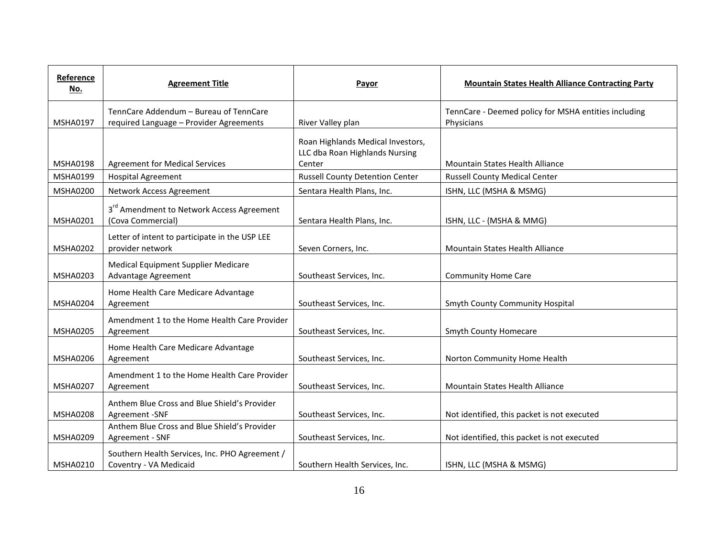| Reference<br><u>No.</u> | <b>Agreement Title</b>                                                            | Payor                                                                         | <b>Mountain States Health Alliance Contracting Party</b>           |
|-------------------------|-----------------------------------------------------------------------------------|-------------------------------------------------------------------------------|--------------------------------------------------------------------|
| <b>MSHA0197</b>         | TennCare Addendum - Bureau of TennCare<br>required Language - Provider Agreements | River Valley plan                                                             | TennCare - Deemed policy for MSHA entities including<br>Physicians |
| <b>MSHA0198</b>         | <b>Agreement for Medical Services</b>                                             | Roan Highlands Medical Investors,<br>LLC dba Roan Highlands Nursing<br>Center | <b>Mountain States Health Alliance</b>                             |
| MSHA0199                | <b>Hospital Agreement</b>                                                         | <b>Russell County Detention Center</b>                                        | <b>Russell County Medical Center</b>                               |
| <b>MSHA0200</b>         | Network Access Agreement                                                          | Sentara Health Plans, Inc.                                                    | ISHN, LLC (MSHA & MSMG)                                            |
| <b>MSHA0201</b>         | 3 <sup>rd</sup> Amendment to Network Access Agreement<br>(Cova Commercial)        | Sentara Health Plans, Inc.                                                    | ISHN, LLC - (MSHA & MMG)                                           |
| <b>MSHA0202</b>         | Letter of intent to participate in the USP LEE<br>provider network                | Seven Corners, Inc.                                                           | Mountain States Health Alliance                                    |
| <b>MSHA0203</b>         | Medical Equipment Supplier Medicare<br>Advantage Agreement                        | Southeast Services, Inc.                                                      | <b>Community Home Care</b>                                         |
| <b>MSHA0204</b>         | Home Health Care Medicare Advantage<br>Agreement                                  | Southeast Services, Inc.                                                      | Smyth County Community Hospital                                    |
| <b>MSHA0205</b>         | Amendment 1 to the Home Health Care Provider<br>Agreement                         | Southeast Services, Inc.                                                      | <b>Smyth County Homecare</b>                                       |
| <b>MSHA0206</b>         | Home Health Care Medicare Advantage<br>Agreement                                  | Southeast Services, Inc.                                                      | Norton Community Home Health                                       |
| <b>MSHA0207</b>         | Amendment 1 to the Home Health Care Provider<br>Agreement                         | Southeast Services, Inc.                                                      | <b>Mountain States Health Alliance</b>                             |
| <b>MSHA0208</b>         | Anthem Blue Cross and Blue Shield's Provider<br>Agreement -SNF                    | Southeast Services, Inc.                                                      | Not identified, this packet is not executed                        |
| MSHA0209                | Anthem Blue Cross and Blue Shield's Provider<br>Agreement - SNF                   | Southeast Services, Inc.                                                      | Not identified, this packet is not executed                        |
| <b>MSHA0210</b>         | Southern Health Services, Inc. PHO Agreement /<br>Coventry - VA Medicaid          | Southern Health Services, Inc.                                                | ISHN, LLC (MSHA & MSMG)                                            |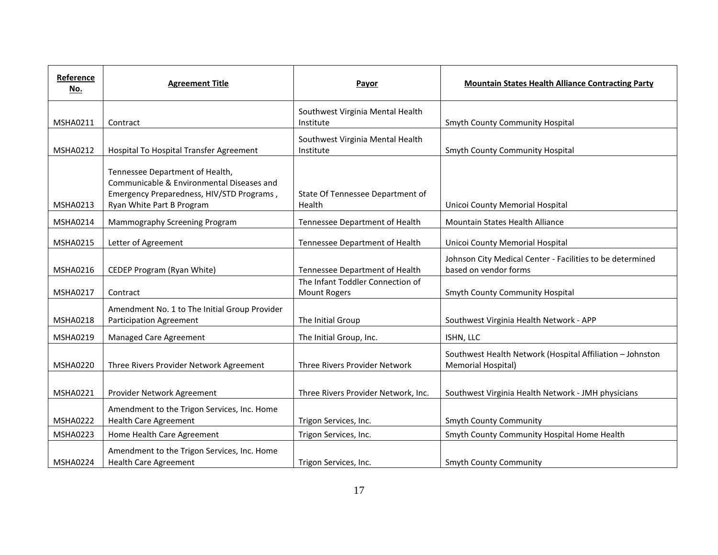| Reference<br>No. | <b>Agreement Title</b>                                                                                                                                 | Payor                                            | <b>Mountain States Health Alliance Contracting Party</b>                           |
|------------------|--------------------------------------------------------------------------------------------------------------------------------------------------------|--------------------------------------------------|------------------------------------------------------------------------------------|
| <b>MSHA0211</b>  | Contract                                                                                                                                               | Southwest Virginia Mental Health<br>Institute    | Smyth County Community Hospital                                                    |
| <b>MSHA0212</b>  | Hospital To Hospital Transfer Agreement                                                                                                                | Southwest Virginia Mental Health<br>Institute    | Smyth County Community Hospital                                                    |
| <b>MSHA0213</b>  | Tennessee Department of Health,<br>Communicable & Environmental Diseases and<br>Emergency Preparedness, HIV/STD Programs,<br>Ryan White Part B Program | State Of Tennessee Department of<br>Health       | Unicoi County Memorial Hospital                                                    |
| <b>MSHA0214</b>  | Mammography Screening Program                                                                                                                          | Tennessee Department of Health                   | Mountain States Health Alliance                                                    |
| <b>MSHA0215</b>  | Letter of Agreement                                                                                                                                    | Tennessee Department of Health                   | Unicoi County Memorial Hospital                                                    |
| <b>MSHA0216</b>  | CEDEP Program (Ryan White)                                                                                                                             | Tennessee Department of Health                   | Johnson City Medical Center - Facilities to be determined<br>based on vendor forms |
| <b>MSHA0217</b>  | Contract                                                                                                                                               | The Infant Toddler Connection of<br>Mount Rogers | Smyth County Community Hospital                                                    |
| <b>MSHA0218</b>  | Amendment No. 1 to The Initial Group Provider<br><b>Participation Agreement</b>                                                                        | The Initial Group                                | Southwest Virginia Health Network - APP                                            |
| <b>MSHA0219</b>  | Managed Care Agreement                                                                                                                                 | The Initial Group, Inc.                          | ISHN, LLC                                                                          |
| <b>MSHA0220</b>  | Three Rivers Provider Network Agreement                                                                                                                | Three Rivers Provider Network                    | Southwest Health Network (Hospital Affiliation - Johnston<br>Memorial Hospital)    |
| <b>MSHA0221</b>  | Provider Network Agreement                                                                                                                             | Three Rivers Provider Network, Inc.              | Southwest Virginia Health Network - JMH physicians                                 |
| <b>MSHA0222</b>  | Amendment to the Trigon Services, Inc. Home<br><b>Health Care Agreement</b>                                                                            | Trigon Services, Inc.                            | <b>Smyth County Community</b>                                                      |
| MSHA0223         | Home Health Care Agreement                                                                                                                             | Trigon Services, Inc.                            | Smyth County Community Hospital Home Health                                        |
| <b>MSHA0224</b>  | Amendment to the Trigon Services, Inc. Home<br><b>Health Care Agreement</b>                                                                            | Trigon Services, Inc.                            | <b>Smyth County Community</b>                                                      |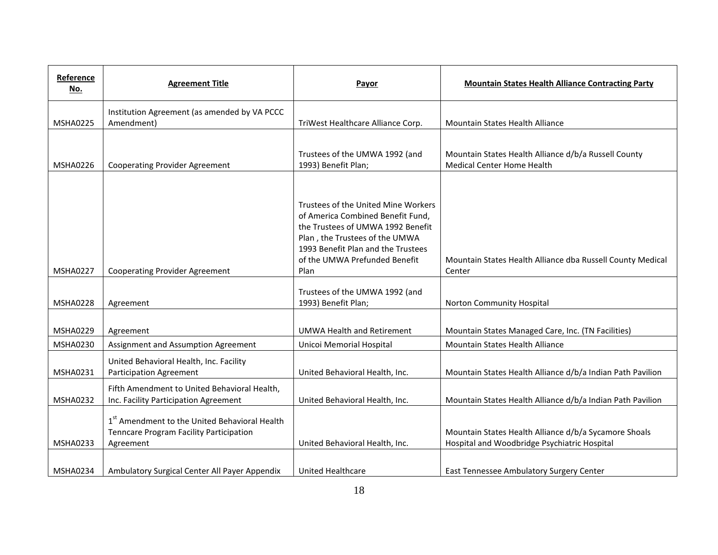| Reference<br>No. | <b>Agreement Title</b>                                                                                            | Payor                                                                                                                                                                                                                          | <b>Mountain States Health Alliance Contracting Party</b>                                              |
|------------------|-------------------------------------------------------------------------------------------------------------------|--------------------------------------------------------------------------------------------------------------------------------------------------------------------------------------------------------------------------------|-------------------------------------------------------------------------------------------------------|
| <b>MSHA0225</b>  | Institution Agreement (as amended by VA PCCC<br>Amendment)                                                        | TriWest Healthcare Alliance Corp.                                                                                                                                                                                              | Mountain States Health Alliance                                                                       |
| <b>MSHA0226</b>  | <b>Cooperating Provider Agreement</b>                                                                             | Trustees of the UMWA 1992 (and<br>1993) Benefit Plan;                                                                                                                                                                          | Mountain States Health Alliance d/b/a Russell County<br><b>Medical Center Home Health</b>             |
| <b>MSHA0227</b>  | <b>Cooperating Provider Agreement</b>                                                                             | Trustees of the United Mine Workers<br>of America Combined Benefit Fund,<br>the Trustees of UMWA 1992 Benefit<br>Plan, the Trustees of the UMWA<br>1993 Benefit Plan and the Trustees<br>of the UMWA Prefunded Benefit<br>Plan | Mountain States Health Alliance dba Russell County Medical<br>Center                                  |
| <b>MSHA0228</b>  | Agreement                                                                                                         | Trustees of the UMWA 1992 (and<br>1993) Benefit Plan;                                                                                                                                                                          | Norton Community Hospital                                                                             |
| <b>MSHA0229</b>  | Agreement                                                                                                         | <b>UMWA Health and Retirement</b>                                                                                                                                                                                              | Mountain States Managed Care, Inc. (TN Facilities)                                                    |
| <b>MSHA0230</b>  | Assignment and Assumption Agreement                                                                               | Unicoi Memorial Hospital                                                                                                                                                                                                       | Mountain States Health Alliance                                                                       |
| <b>MSHA0231</b>  | United Behavioral Health, Inc. Facility<br><b>Participation Agreement</b>                                         | United Behavioral Health, Inc.                                                                                                                                                                                                 | Mountain States Health Alliance d/b/a Indian Path Pavilion                                            |
| <b>MSHA0232</b>  | Fifth Amendment to United Behavioral Health,<br>Inc. Facility Participation Agreement                             | United Behavioral Health, Inc.                                                                                                                                                                                                 | Mountain States Health Alliance d/b/a Indian Path Pavilion                                            |
| <b>MSHA0233</b>  | 1 <sup>st</sup> Amendment to the United Behavioral Health<br>Tenncare Program Facility Participation<br>Agreement | United Behavioral Health, Inc.                                                                                                                                                                                                 | Mountain States Health Alliance d/b/a Sycamore Shoals<br>Hospital and Woodbridge Psychiatric Hospital |
| <b>MSHA0234</b>  | Ambulatory Surgical Center All Payer Appendix                                                                     | <b>United Healthcare</b>                                                                                                                                                                                                       | East Tennessee Ambulatory Surgery Center                                                              |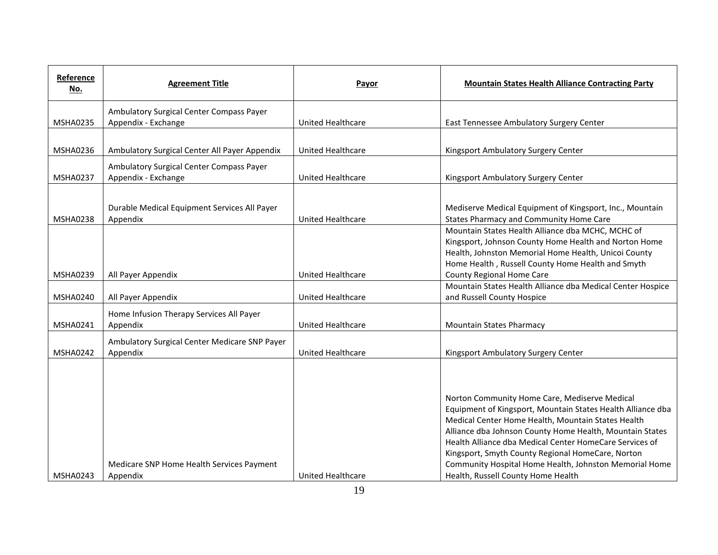| Reference<br>No. | <b>Agreement Title</b>                                          | Payor                    | <b>Mountain States Health Alliance Contracting Party</b>                                                                                                                                                                                                                                                                                                                                                                                       |
|------------------|-----------------------------------------------------------------|--------------------------|------------------------------------------------------------------------------------------------------------------------------------------------------------------------------------------------------------------------------------------------------------------------------------------------------------------------------------------------------------------------------------------------------------------------------------------------|
| <b>MSHA0235</b>  | Ambulatory Surgical Center Compass Payer<br>Appendix - Exchange | <b>United Healthcare</b> | East Tennessee Ambulatory Surgery Center                                                                                                                                                                                                                                                                                                                                                                                                       |
| <b>MSHA0236</b>  | Ambulatory Surgical Center All Payer Appendix                   | <b>United Healthcare</b> | Kingsport Ambulatory Surgery Center                                                                                                                                                                                                                                                                                                                                                                                                            |
| <b>MSHA0237</b>  | Ambulatory Surgical Center Compass Payer<br>Appendix - Exchange | <b>United Healthcare</b> | Kingsport Ambulatory Surgery Center                                                                                                                                                                                                                                                                                                                                                                                                            |
| <b>MSHA0238</b>  | Durable Medical Equipment Services All Payer<br>Appendix        | <b>United Healthcare</b> | Mediserve Medical Equipment of Kingsport, Inc., Mountain<br>States Pharmacy and Community Home Care                                                                                                                                                                                                                                                                                                                                            |
|                  |                                                                 |                          | Mountain States Health Alliance dba MCHC, MCHC of<br>Kingsport, Johnson County Home Health and Norton Home<br>Health, Johnston Memorial Home Health, Unicoi County<br>Home Health, Russell County Home Health and Smyth                                                                                                                                                                                                                        |
| <b>MSHA0239</b>  | All Payer Appendix                                              | <b>United Healthcare</b> | <b>County Regional Home Care</b>                                                                                                                                                                                                                                                                                                                                                                                                               |
| MSHA0240         | All Payer Appendix                                              | United Healthcare        | Mountain States Health Alliance dba Medical Center Hospice<br>and Russell County Hospice                                                                                                                                                                                                                                                                                                                                                       |
| <b>MSHA0241</b>  | Home Infusion Therapy Services All Payer<br>Appendix            | <b>United Healthcare</b> | <b>Mountain States Pharmacy</b>                                                                                                                                                                                                                                                                                                                                                                                                                |
| <b>MSHA0242</b>  | Ambulatory Surgical Center Medicare SNP Payer<br>Appendix       | United Healthcare        | Kingsport Ambulatory Surgery Center                                                                                                                                                                                                                                                                                                                                                                                                            |
| MSHA0243         | Medicare SNP Home Health Services Payment<br>Appendix           | United Healthcare        | Norton Community Home Care, Mediserve Medical<br>Equipment of Kingsport, Mountain States Health Alliance dba<br>Medical Center Home Health, Mountain States Health<br>Alliance dba Johnson County Home Health, Mountain States<br>Health Alliance dba Medical Center HomeCare Services of<br>Kingsport, Smyth County Regional HomeCare, Norton<br>Community Hospital Home Health, Johnston Memorial Home<br>Health, Russell County Home Health |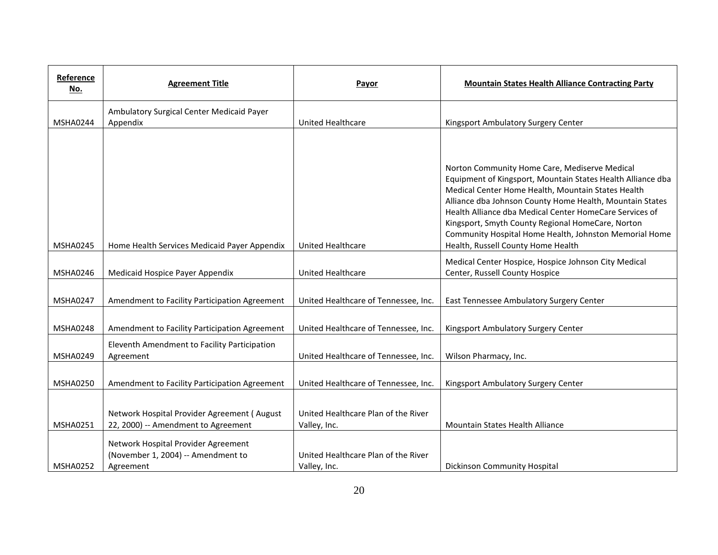| Reference<br><u>No.</u> | <b>Agreement Title</b>                                                                 | Payor                                               | <b>Mountain States Health Alliance Contracting Party</b>                                                                                                                                                                                                                                                                                                                                                                                       |
|-------------------------|----------------------------------------------------------------------------------------|-----------------------------------------------------|------------------------------------------------------------------------------------------------------------------------------------------------------------------------------------------------------------------------------------------------------------------------------------------------------------------------------------------------------------------------------------------------------------------------------------------------|
| <b>MSHA0244</b>         | Ambulatory Surgical Center Medicaid Payer<br>Appendix                                  | <b>United Healthcare</b>                            | Kingsport Ambulatory Surgery Center                                                                                                                                                                                                                                                                                                                                                                                                            |
| <b>MSHA0245</b>         | Home Health Services Medicaid Payer Appendix                                           | <b>United Healthcare</b>                            | Norton Community Home Care, Mediserve Medical<br>Equipment of Kingsport, Mountain States Health Alliance dba<br>Medical Center Home Health, Mountain States Health<br>Alliance dba Johnson County Home Health, Mountain States<br>Health Alliance dba Medical Center HomeCare Services of<br>Kingsport, Smyth County Regional HomeCare, Norton<br>Community Hospital Home Health, Johnston Memorial Home<br>Health, Russell County Home Health |
| MSHA0246                | Medicaid Hospice Payer Appendix                                                        | <b>United Healthcare</b>                            | Medical Center Hospice, Hospice Johnson City Medical<br>Center, Russell County Hospice                                                                                                                                                                                                                                                                                                                                                         |
| <b>MSHA0247</b>         | Amendment to Facility Participation Agreement                                          | United Healthcare of Tennessee, Inc.                | East Tennessee Ambulatory Surgery Center                                                                                                                                                                                                                                                                                                                                                                                                       |
| <b>MSHA0248</b>         | Amendment to Facility Participation Agreement                                          | United Healthcare of Tennessee, Inc.                | Kingsport Ambulatory Surgery Center                                                                                                                                                                                                                                                                                                                                                                                                            |
| <b>MSHA0249</b>         | Eleventh Amendment to Facility Participation<br>Agreement                              | United Healthcare of Tennessee, Inc.                | Wilson Pharmacy, Inc.                                                                                                                                                                                                                                                                                                                                                                                                                          |
| <b>MSHA0250</b>         | Amendment to Facility Participation Agreement                                          | United Healthcare of Tennessee, Inc.                | Kingsport Ambulatory Surgery Center                                                                                                                                                                                                                                                                                                                                                                                                            |
| <b>MSHA0251</b>         | Network Hospital Provider Agreement (August<br>22, 2000) -- Amendment to Agreement     | United Healthcare Plan of the River<br>Valley, Inc. | Mountain States Health Alliance                                                                                                                                                                                                                                                                                                                                                                                                                |
| <b>MSHA0252</b>         | Network Hospital Provider Agreement<br>(November 1, 2004) -- Amendment to<br>Agreement | United Healthcare Plan of the River<br>Valley, Inc. | <b>Dickinson Community Hospital</b>                                                                                                                                                                                                                                                                                                                                                                                                            |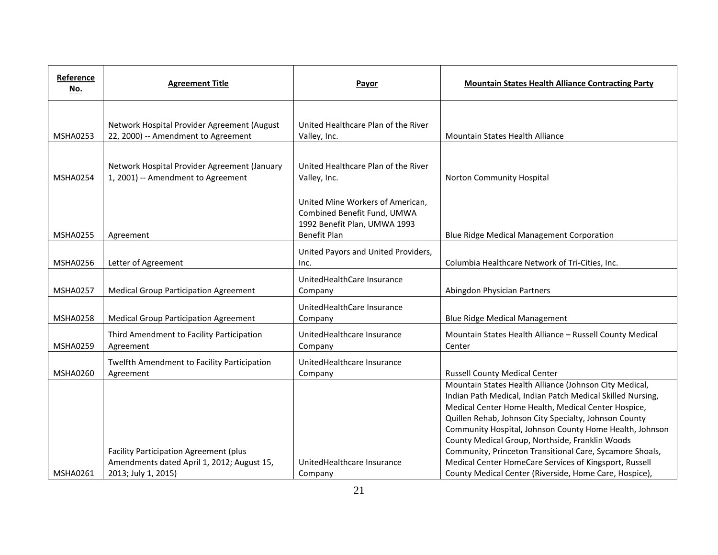| Reference<br><u>No.</u> | <b>Agreement Title</b>                                                                                      | Payor                                                                                                                  | <b>Mountain States Health Alliance Contracting Party</b>                                                                                                                                                                                                                                                                                                                                                                                                                                                                           |
|-------------------------|-------------------------------------------------------------------------------------------------------------|------------------------------------------------------------------------------------------------------------------------|------------------------------------------------------------------------------------------------------------------------------------------------------------------------------------------------------------------------------------------------------------------------------------------------------------------------------------------------------------------------------------------------------------------------------------------------------------------------------------------------------------------------------------|
|                         |                                                                                                             |                                                                                                                        |                                                                                                                                                                                                                                                                                                                                                                                                                                                                                                                                    |
| <b>MSHA0253</b>         | Network Hospital Provider Agreement (August<br>22, 2000) -- Amendment to Agreement                          | United Healthcare Plan of the River<br>Valley, Inc.                                                                    | Mountain States Health Alliance                                                                                                                                                                                                                                                                                                                                                                                                                                                                                                    |
|                         |                                                                                                             |                                                                                                                        |                                                                                                                                                                                                                                                                                                                                                                                                                                                                                                                                    |
| <b>MSHA0254</b>         | Network Hospital Provider Agreement (January<br>1, 2001) -- Amendment to Agreement                          | United Healthcare Plan of the River<br>Valley, Inc.                                                                    | Norton Community Hospital                                                                                                                                                                                                                                                                                                                                                                                                                                                                                                          |
| <b>MSHA0255</b>         | Agreement                                                                                                   | United Mine Workers of American,<br>Combined Benefit Fund, UMWA<br>1992 Benefit Plan, UMWA 1993<br><b>Benefit Plan</b> | <b>Blue Ridge Medical Management Corporation</b>                                                                                                                                                                                                                                                                                                                                                                                                                                                                                   |
| MSHA0256                | Letter of Agreement                                                                                         | United Payors and United Providers,<br>Inc.                                                                            | Columbia Healthcare Network of Tri-Cities, Inc.                                                                                                                                                                                                                                                                                                                                                                                                                                                                                    |
| <b>MSHA0257</b>         | <b>Medical Group Participation Agreement</b>                                                                | UnitedHealthCare Insurance<br>Company                                                                                  | Abingdon Physician Partners                                                                                                                                                                                                                                                                                                                                                                                                                                                                                                        |
| <b>MSHA0258</b>         | <b>Medical Group Participation Agreement</b>                                                                | UnitedHealthCare Insurance<br>Company                                                                                  | <b>Blue Ridge Medical Management</b>                                                                                                                                                                                                                                                                                                                                                                                                                                                                                               |
| <b>MSHA0259</b>         | Third Amendment to Facility Participation<br>Agreement                                                      | UnitedHealthcare Insurance<br>Company                                                                                  | Mountain States Health Alliance - Russell County Medical<br>Center                                                                                                                                                                                                                                                                                                                                                                                                                                                                 |
| <b>MSHA0260</b>         | Twelfth Amendment to Facility Participation<br>Agreement                                                    | UnitedHealthcare Insurance<br>Company                                                                                  | <b>Russell County Medical Center</b>                                                                                                                                                                                                                                                                                                                                                                                                                                                                                               |
| <b>MSHA0261</b>         | Facility Participation Agreement (plus<br>Amendments dated April 1, 2012; August 15,<br>2013; July 1, 2015) | UnitedHealthcare Insurance<br>Company                                                                                  | Mountain States Health Alliance (Johnson City Medical,<br>Indian Path Medical, Indian Patch Medical Skilled Nursing,<br>Medical Center Home Health, Medical Center Hospice,<br>Quillen Rehab, Johnson City Specialty, Johnson County<br>Community Hospital, Johnson County Home Health, Johnson<br>County Medical Group, Northside, Franklin Woods<br>Community, Princeton Transitional Care, Sycamore Shoals,<br>Medical Center HomeCare Services of Kingsport, Russell<br>County Medical Center (Riverside, Home Care, Hospice), |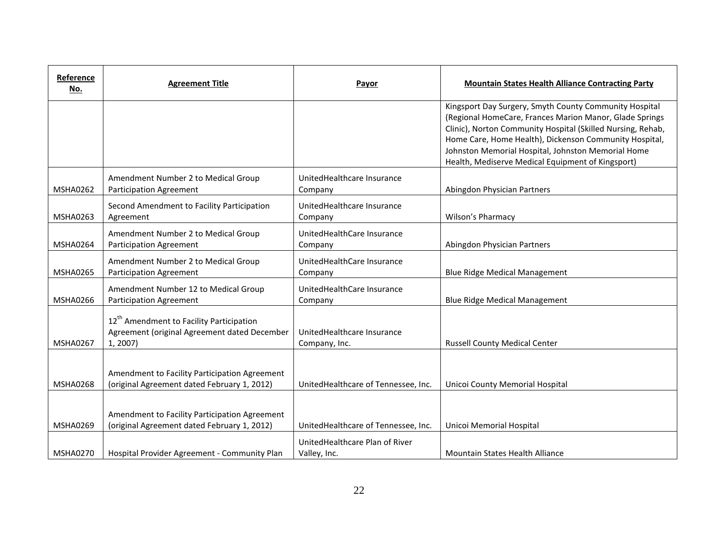| Reference<br><u>No.</u> | <b>Agreement Title</b>                                                                                           | Payor                                          | <b>Mountain States Health Alliance Contracting Party</b>                                                                                                                                                                                                                                                                                              |
|-------------------------|------------------------------------------------------------------------------------------------------------------|------------------------------------------------|-------------------------------------------------------------------------------------------------------------------------------------------------------------------------------------------------------------------------------------------------------------------------------------------------------------------------------------------------------|
|                         |                                                                                                                  |                                                | Kingsport Day Surgery, Smyth County Community Hospital<br>(Regional HomeCare, Frances Marion Manor, Glade Springs<br>Clinic), Norton Community Hospital (Skilled Nursing, Rehab,<br>Home Care, Home Health), Dickenson Community Hospital,<br>Johnston Memorial Hospital, Johnston Memorial Home<br>Health, Mediserve Medical Equipment of Kingsport) |
| <b>MSHA0262</b>         | Amendment Number 2 to Medical Group<br><b>Participation Agreement</b>                                            | UnitedHealthcare Insurance<br>Company          | Abingdon Physician Partners                                                                                                                                                                                                                                                                                                                           |
| <b>MSHA0263</b>         | Second Amendment to Facility Participation<br>Agreement                                                          | UnitedHealthcare Insurance<br>Company          | Wilson's Pharmacy                                                                                                                                                                                                                                                                                                                                     |
| <b>MSHA0264</b>         | Amendment Number 2 to Medical Group<br>Participation Agreement                                                   | UnitedHealthCare Insurance<br>Company          | Abingdon Physician Partners                                                                                                                                                                                                                                                                                                                           |
| <b>MSHA0265</b>         | Amendment Number 2 to Medical Group<br>Participation Agreement                                                   | UnitedHealthCare Insurance<br>Company          | <b>Blue Ridge Medical Management</b>                                                                                                                                                                                                                                                                                                                  |
| <b>MSHA0266</b>         | Amendment Number 12 to Medical Group<br>Participation Agreement                                                  | UnitedHealthCare Insurance<br>Company          | <b>Blue Ridge Medical Management</b>                                                                                                                                                                                                                                                                                                                  |
| <b>MSHA0267</b>         | 12 <sup>th</sup> Amendment to Facility Participation<br>Agreement (original Agreement dated December<br>1, 2007) | UnitedHealthcare Insurance<br>Company, Inc.    | <b>Russell County Medical Center</b>                                                                                                                                                                                                                                                                                                                  |
| <b>MSHA0268</b>         | Amendment to Facility Participation Agreement<br>(original Agreement dated February 1, 2012)                     | UnitedHealthcare of Tennessee, Inc.            | Unicoi County Memorial Hospital                                                                                                                                                                                                                                                                                                                       |
| MSHA0269                | Amendment to Facility Participation Agreement<br>(original Agreement dated February 1, 2012)                     | UnitedHealthcare of Tennessee, Inc.            | Unicoi Memorial Hospital                                                                                                                                                                                                                                                                                                                              |
| <b>MSHA0270</b>         | Hospital Provider Agreement - Community Plan                                                                     | UnitedHealthcare Plan of River<br>Valley, Inc. | <b>Mountain States Health Alliance</b>                                                                                                                                                                                                                                                                                                                |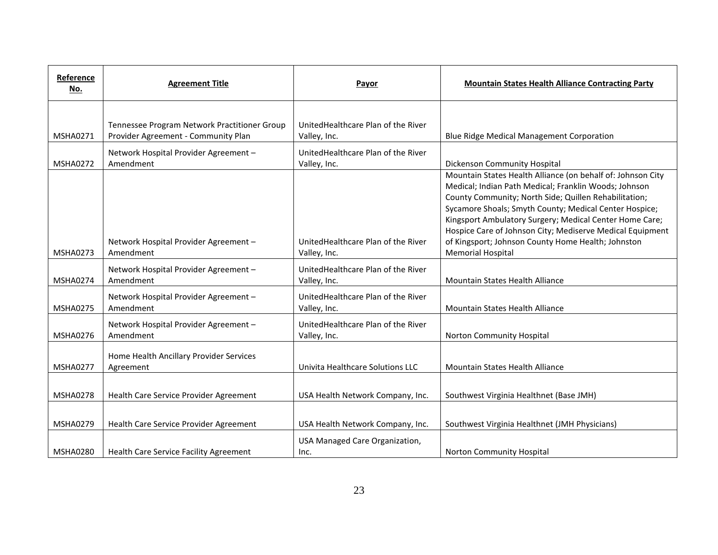| Reference<br>No. | <b>Agreement Title</b>                                                              | Payor                                               | <b>Mountain States Health Alliance Contracting Party</b>                                                                                                                                                                                                                                                                                                                                                                                          |
|------------------|-------------------------------------------------------------------------------------|-----------------------------------------------------|---------------------------------------------------------------------------------------------------------------------------------------------------------------------------------------------------------------------------------------------------------------------------------------------------------------------------------------------------------------------------------------------------------------------------------------------------|
| <b>MSHA0271</b>  | Tennessee Program Network Practitioner Group<br>Provider Agreement - Community Plan | United Healthcare Plan of the River<br>Valley, Inc. | <b>Blue Ridge Medical Management Corporation</b>                                                                                                                                                                                                                                                                                                                                                                                                  |
| <b>MSHA0272</b>  | Network Hospital Provider Agreement -<br>Amendment                                  | United Healthcare Plan of the River<br>Valley, Inc. | Dickenson Community Hospital                                                                                                                                                                                                                                                                                                                                                                                                                      |
| <b>MSHA0273</b>  | Network Hospital Provider Agreement -<br>Amendment                                  | United Healthcare Plan of the River<br>Valley, Inc. | Mountain States Health Alliance (on behalf of: Johnson City<br>Medical; Indian Path Medical; Franklin Woods; Johnson<br>County Community; North Side; Quillen Rehabilitation;<br>Sycamore Shoals; Smyth County; Medical Center Hospice;<br>Kingsport Ambulatory Surgery; Medical Center Home Care;<br>Hospice Care of Johnson City; Mediserve Medical Equipment<br>of Kingsport; Johnson County Home Health; Johnston<br><b>Memorial Hospital</b> |
| <b>MSHA0274</b>  | Network Hospital Provider Agreement -<br>Amendment                                  | UnitedHealthcare Plan of the River<br>Valley, Inc.  | <b>Mountain States Health Alliance</b>                                                                                                                                                                                                                                                                                                                                                                                                            |
| <b>MSHA0275</b>  | Network Hospital Provider Agreement -<br>Amendment                                  | UnitedHealthcare Plan of the River<br>Valley, Inc.  | Mountain States Health Alliance                                                                                                                                                                                                                                                                                                                                                                                                                   |
| <b>MSHA0276</b>  | Network Hospital Provider Agreement -<br>Amendment                                  | UnitedHealthcare Plan of the River<br>Valley, Inc.  | Norton Community Hospital                                                                                                                                                                                                                                                                                                                                                                                                                         |
| <b>MSHA0277</b>  | Home Health Ancillary Provider Services<br>Agreement                                | Univita Healthcare Solutions LLC                    | Mountain States Health Alliance                                                                                                                                                                                                                                                                                                                                                                                                                   |
| <b>MSHA0278</b>  | Health Care Service Provider Agreement                                              | USA Health Network Company, Inc.                    | Southwest Virginia Healthnet (Base JMH)                                                                                                                                                                                                                                                                                                                                                                                                           |
| <b>MSHA0279</b>  | Health Care Service Provider Agreement                                              | USA Health Network Company, Inc.                    | Southwest Virginia Healthnet (JMH Physicians)                                                                                                                                                                                                                                                                                                                                                                                                     |
| <b>MSHA0280</b>  | Health Care Service Facility Agreement                                              | USA Managed Care Organization,<br>Inc.              | Norton Community Hospital                                                                                                                                                                                                                                                                                                                                                                                                                         |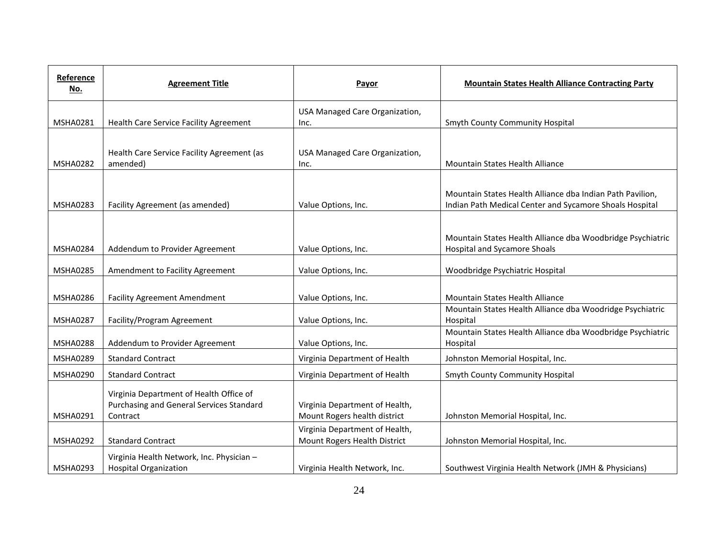| Reference<br>No. | <b>Agreement Title</b>                                                                          | Payor                                                          | <b>Mountain States Health Alliance Contracting Party</b>                                                             |
|------------------|-------------------------------------------------------------------------------------------------|----------------------------------------------------------------|----------------------------------------------------------------------------------------------------------------------|
|                  |                                                                                                 | USA Managed Care Organization,                                 |                                                                                                                      |
| <b>MSHA0281</b>  | Health Care Service Facility Agreement                                                          | Inc.                                                           | <b>Smyth County Community Hospital</b>                                                                               |
|                  |                                                                                                 |                                                                |                                                                                                                      |
|                  | Health Care Service Facility Agreement (as                                                      | USA Managed Care Organization,                                 |                                                                                                                      |
| <b>MSHA0282</b>  | amended)                                                                                        | Inc.                                                           | Mountain States Health Alliance                                                                                      |
| <b>MSHA0283</b>  | Facility Agreement (as amended)                                                                 | Value Options, Inc.                                            | Mountain States Health Alliance dba Indian Path Pavilion,<br>Indian Path Medical Center and Sycamore Shoals Hospital |
|                  |                                                                                                 |                                                                | Mountain States Health Alliance dba Woodbridge Psychiatric                                                           |
| <b>MSHA0284</b>  | Addendum to Provider Agreement                                                                  | Value Options, Inc.                                            | <b>Hospital and Sycamore Shoals</b>                                                                                  |
| <b>MSHA0285</b>  | Amendment to Facility Agreement                                                                 | Value Options, Inc.                                            | Woodbridge Psychiatric Hospital                                                                                      |
| <b>MSHA0286</b>  | <b>Facility Agreement Amendment</b>                                                             | Value Options, Inc.                                            | Mountain States Health Alliance                                                                                      |
| <b>MSHA0287</b>  | Facility/Program Agreement                                                                      | Value Options, Inc.                                            | Mountain States Health Alliance dba Woodridge Psychiatric<br>Hospital                                                |
| <b>MSHA0288</b>  | Addendum to Provider Agreement                                                                  | Value Options, Inc.                                            | Mountain States Health Alliance dba Woodbridge Psychiatric<br>Hospital                                               |
| MSHA0289         | <b>Standard Contract</b>                                                                        | Virginia Department of Health                                  | Johnston Memorial Hospital, Inc.                                                                                     |
| MSHA0290         | <b>Standard Contract</b>                                                                        | Virginia Department of Health                                  | <b>Smyth County Community Hospital</b>                                                                               |
| MSHA0291         | Virginia Department of Health Office of<br>Purchasing and General Services Standard<br>Contract | Virginia Department of Health,<br>Mount Rogers health district | Johnston Memorial Hospital, Inc.                                                                                     |
| <b>MSHA0292</b>  | <b>Standard Contract</b>                                                                        | Virginia Department of Health,<br>Mount Rogers Health District | Johnston Memorial Hospital, Inc.                                                                                     |
| <b>MSHA0293</b>  | Virginia Health Network, Inc. Physician -<br><b>Hospital Organization</b>                       | Virginia Health Network, Inc.                                  | Southwest Virginia Health Network (JMH & Physicians)                                                                 |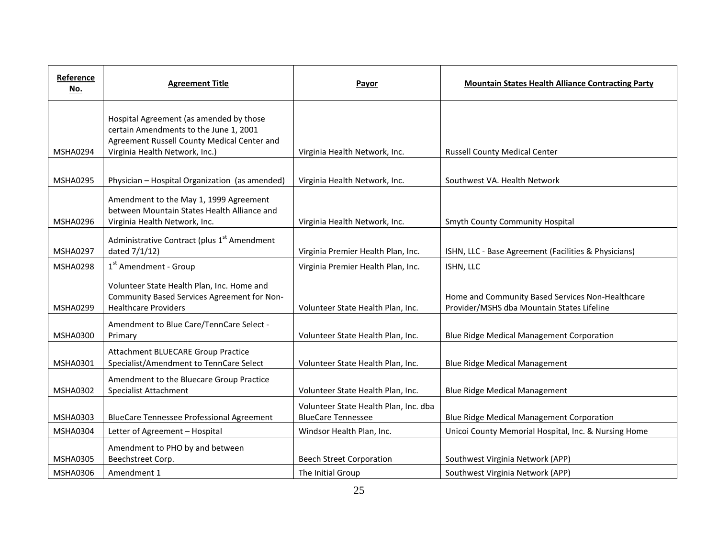| Reference<br><u>No.</u> | <b>Agreement Title</b>                                                                                                                                             | Payor                                                              | <b>Mountain States Health Alliance Contracting Party</b>                                       |
|-------------------------|--------------------------------------------------------------------------------------------------------------------------------------------------------------------|--------------------------------------------------------------------|------------------------------------------------------------------------------------------------|
| <b>MSHA0294</b>         | Hospital Agreement (as amended by those<br>certain Amendments to the June 1, 2001<br>Agreement Russell County Medical Center and<br>Virginia Health Network, Inc.) | Virginia Health Network, Inc.                                      | <b>Russell County Medical Center</b>                                                           |
| <b>MSHA0295</b>         | Physician - Hospital Organization (as amended)                                                                                                                     | Virginia Health Network, Inc.                                      | Southwest VA. Health Network                                                                   |
| <b>MSHA0296</b>         | Amendment to the May 1, 1999 Agreement<br>between Mountain States Health Alliance and<br>Virginia Health Network, Inc.                                             | Virginia Health Network, Inc.                                      | <b>Smyth County Community Hospital</b>                                                         |
| <b>MSHA0297</b>         | Administrative Contract (plus 1 <sup>st</sup> Amendment<br>dated 7/1/12)                                                                                           | Virginia Premier Health Plan, Inc.                                 | ISHN, LLC - Base Agreement (Facilities & Physicians)                                           |
| <b>MSHA0298</b>         | 1 <sup>st</sup> Amendment - Group                                                                                                                                  | Virginia Premier Health Plan, Inc.                                 | ISHN, LLC                                                                                      |
| <b>MSHA0299</b>         | Volunteer State Health Plan, Inc. Home and<br>Community Based Services Agreement for Non-<br><b>Healthcare Providers</b>                                           | Volunteer State Health Plan, Inc.                                  | Home and Community Based Services Non-Healthcare<br>Provider/MSHS dba Mountain States Lifeline |
| <b>MSHA0300</b>         | Amendment to Blue Care/TennCare Select -<br>Primary                                                                                                                | Volunteer State Health Plan, Inc.                                  | Blue Ridge Medical Management Corporation                                                      |
| MSHA0301                | Attachment BLUECARE Group Practice<br>Specialist/Amendment to TennCare Select                                                                                      | Volunteer State Health Plan, Inc.                                  | <b>Blue Ridge Medical Management</b>                                                           |
| <b>MSHA0302</b>         | Amendment to the Bluecare Group Practice<br><b>Specialist Attachment</b>                                                                                           | Volunteer State Health Plan, Inc.                                  | <b>Blue Ridge Medical Management</b>                                                           |
| <b>MSHA0303</b>         | <b>BlueCare Tennessee Professional Agreement</b>                                                                                                                   | Volunteer State Health Plan, Inc. dba<br><b>BlueCare Tennessee</b> | <b>Blue Ridge Medical Management Corporation</b>                                               |
| <b>MSHA0304</b>         | Letter of Agreement - Hospital                                                                                                                                     | Windsor Health Plan, Inc.                                          | Unicoi County Memorial Hospital, Inc. & Nursing Home                                           |
| <b>MSHA0305</b>         | Amendment to PHO by and between<br>Beechstreet Corp.                                                                                                               | <b>Beech Street Corporation</b>                                    | Southwest Virginia Network (APP)                                                               |
| <b>MSHA0306</b>         | Amendment 1                                                                                                                                                        | The Initial Group                                                  | Southwest Virginia Network (APP)                                                               |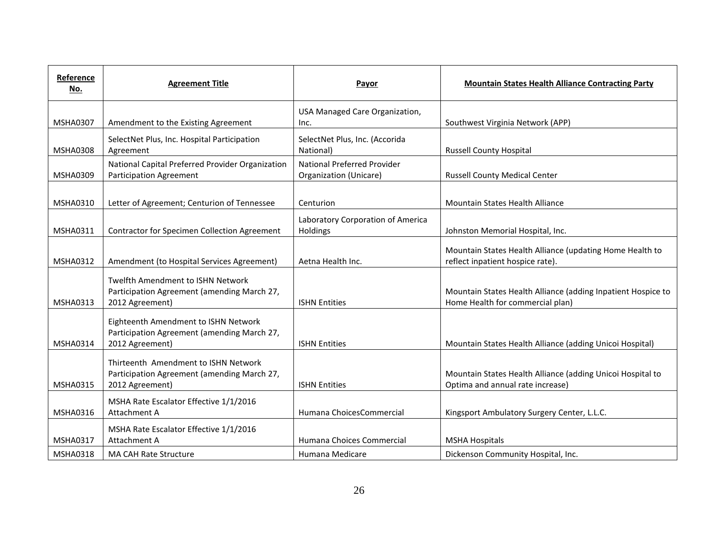| Reference<br>No. | <b>Agreement Title</b>                                                                                 | Payor                                                        | <b>Mountain States Health Alliance Contracting Party</b>                                         |
|------------------|--------------------------------------------------------------------------------------------------------|--------------------------------------------------------------|--------------------------------------------------------------------------------------------------|
| <b>MSHA0307</b>  | Amendment to the Existing Agreement                                                                    | USA Managed Care Organization,<br>Inc.                       | Southwest Virginia Network (APP)                                                                 |
| <b>MSHA0308</b>  | SelectNet Plus, Inc. Hospital Participation<br>Agreement                                               | SelectNet Plus, Inc. (Accorida<br>National)                  | <b>Russell County Hospital</b>                                                                   |
| <b>MSHA0309</b>  | National Capital Preferred Provider Organization<br>Participation Agreement                            | <b>National Preferred Provider</b><br>Organization (Unicare) | <b>Russell County Medical Center</b>                                                             |
| <b>MSHA0310</b>  | Letter of Agreement; Centurion of Tennessee                                                            | Centurion                                                    | <b>Mountain States Health Alliance</b>                                                           |
| <b>MSHA0311</b>  | Contractor for Specimen Collection Agreement                                                           | Laboratory Corporation of America<br>Holdings                | Johnston Memorial Hospital, Inc.                                                                 |
| <b>MSHA0312</b>  | Amendment (to Hospital Services Agreement)                                                             | Aetna Health Inc.                                            | Mountain States Health Alliance (updating Home Health to<br>reflect inpatient hospice rate).     |
| <b>MSHA0313</b>  | Twelfth Amendment to ISHN Network<br>Participation Agreement (amending March 27,<br>2012 Agreement)    | <b>ISHN Entities</b>                                         | Mountain States Health Alliance (adding Inpatient Hospice to<br>Home Health for commercial plan) |
| <b>MSHA0314</b>  | Eighteenth Amendment to ISHN Network<br>Participation Agreement (amending March 27,<br>2012 Agreement) | <b>ISHN Entities</b>                                         | Mountain States Health Alliance (adding Unicoi Hospital)                                         |
| <b>MSHA0315</b>  | Thirteenth Amendment to ISHN Network<br>Participation Agreement (amending March 27,<br>2012 Agreement) | <b>ISHN Entities</b>                                         | Mountain States Health Alliance (adding Unicoi Hospital to<br>Optima and annual rate increase)   |
| MSHA0316         | MSHA Rate Escalator Effective 1/1/2016<br>Attachment A                                                 | Humana ChoicesCommercial                                     | Kingsport Ambulatory Surgery Center, L.L.C.                                                      |
| <b>MSHA0317</b>  | MSHA Rate Escalator Effective 1/1/2016<br>Attachment A                                                 | Humana Choices Commercial                                    | <b>MSHA Hospitals</b>                                                                            |
| <b>MSHA0318</b>  | <b>MA CAH Rate Structure</b>                                                                           | Humana Medicare                                              | Dickenson Community Hospital, Inc.                                                               |